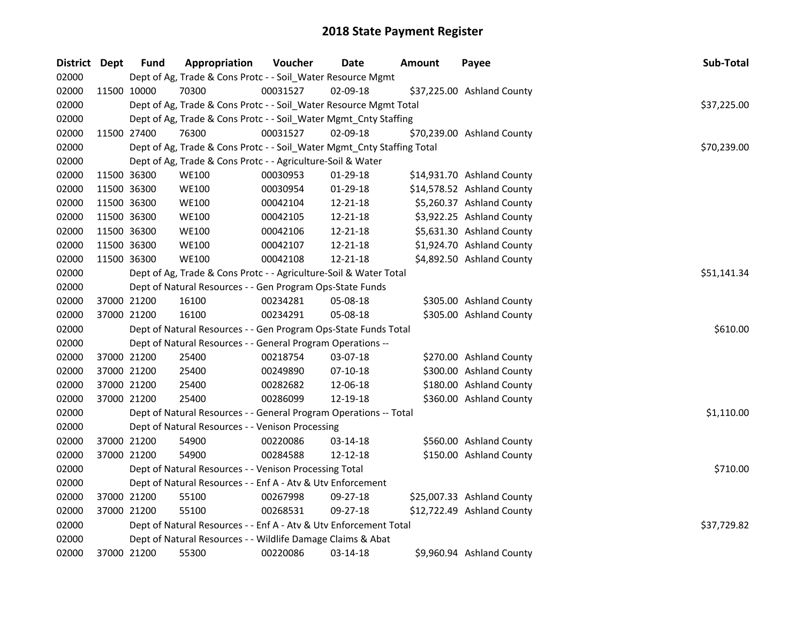| District Dept |             | <b>Fund</b> | Appropriation                                                          | Voucher  | <b>Date</b> | Amount | Payee                      | Sub-Total   |
|---------------|-------------|-------------|------------------------------------------------------------------------|----------|-------------|--------|----------------------------|-------------|
| 02000         |             |             | Dept of Ag, Trade & Cons Protc - - Soil_Water Resource Mgmt            |          |             |        |                            |             |
| 02000         |             | 11500 10000 | 70300                                                                  | 00031527 | 02-09-18    |        | \$37,225.00 Ashland County |             |
| 02000         |             |             | Dept of Ag, Trade & Cons Protc - - Soil_Water Resource Mgmt Total      |          |             |        |                            | \$37,225.00 |
| 02000         |             |             | Dept of Ag, Trade & Cons Protc - - Soil_Water Mgmt_Cnty Staffing       |          |             |        |                            |             |
| 02000         |             | 11500 27400 | 76300                                                                  | 00031527 | 02-09-18    |        | \$70,239.00 Ashland County |             |
| 02000         |             |             | Dept of Ag, Trade & Cons Protc - - Soil_Water Mgmt_Cnty Staffing Total |          |             |        |                            | \$70,239.00 |
| 02000         |             |             | Dept of Ag, Trade & Cons Protc - - Agriculture-Soil & Water            |          |             |        |                            |             |
| 02000         | 11500 36300 |             | <b>WE100</b>                                                           | 00030953 | 01-29-18    |        | \$14,931.70 Ashland County |             |
| 02000         | 11500 36300 |             | <b>WE100</b>                                                           | 00030954 | 01-29-18    |        | \$14,578.52 Ashland County |             |
| 02000         | 11500 36300 |             | <b>WE100</b>                                                           | 00042104 | 12-21-18    |        | \$5,260.37 Ashland County  |             |
| 02000         | 11500 36300 |             | <b>WE100</b>                                                           | 00042105 | 12-21-18    |        | \$3,922.25 Ashland County  |             |
| 02000         | 11500 36300 |             | <b>WE100</b>                                                           | 00042106 | 12-21-18    |        | \$5,631.30 Ashland County  |             |
| 02000         | 11500 36300 |             | <b>WE100</b>                                                           | 00042107 | 12-21-18    |        | \$1,924.70 Ashland County  |             |
| 02000         |             | 11500 36300 | <b>WE100</b>                                                           | 00042108 | 12-21-18    |        | \$4,892.50 Ashland County  |             |
| 02000         |             |             | Dept of Ag, Trade & Cons Protc - - Agriculture-Soil & Water Total      |          |             |        |                            | \$51,141.34 |
| 02000         |             |             | Dept of Natural Resources - - Gen Program Ops-State Funds              |          |             |        |                            |             |
| 02000         |             | 37000 21200 | 16100                                                                  | 00234281 | 05-08-18    |        | \$305.00 Ashland County    |             |
| 02000         |             | 37000 21200 | 16100                                                                  | 00234291 | 05-08-18    |        | \$305.00 Ashland County    |             |
| 02000         |             |             | Dept of Natural Resources - - Gen Program Ops-State Funds Total        |          |             |        |                            | \$610.00    |
| 02000         |             |             | Dept of Natural Resources - - General Program Operations --            |          |             |        |                            |             |
| 02000         |             | 37000 21200 | 25400                                                                  | 00218754 | 03-07-18    |        | \$270.00 Ashland County    |             |
| 02000         | 37000 21200 |             | 25400                                                                  | 00249890 | $07-10-18$  |        | \$300.00 Ashland County    |             |
| 02000         | 37000 21200 |             | 25400                                                                  | 00282682 | 12-06-18    |        | \$180.00 Ashland County    |             |
| 02000         |             | 37000 21200 | 25400                                                                  | 00286099 | 12-19-18    |        | \$360.00 Ashland County    |             |
| 02000         |             |             | Dept of Natural Resources - - General Program Operations -- Total      |          |             |        |                            | \$1,110.00  |
| 02000         |             |             | Dept of Natural Resources - - Venison Processing                       |          |             |        |                            |             |
| 02000         |             | 37000 21200 | 54900                                                                  | 00220086 | 03-14-18    |        | \$560.00 Ashland County    |             |
| 02000         |             | 37000 21200 | 54900                                                                  | 00284588 | 12-12-18    |        | \$150.00 Ashland County    |             |
| 02000         |             |             | Dept of Natural Resources - - Venison Processing Total                 |          |             |        |                            | \$710.00    |
| 02000         |             |             | Dept of Natural Resources - - Enf A - Atv & Utv Enforcement            |          |             |        |                            |             |
| 02000         |             | 37000 21200 | 55100                                                                  | 00267998 | 09-27-18    |        | \$25,007.33 Ashland County |             |
| 02000         |             | 37000 21200 | 55100                                                                  | 00268531 | 09-27-18    |        | \$12,722.49 Ashland County |             |
| 02000         |             |             | Dept of Natural Resources - - Enf A - Atv & Utv Enforcement Total      |          |             |        |                            | \$37,729.82 |
| 02000         |             |             | Dept of Natural Resources - - Wildlife Damage Claims & Abat            |          |             |        |                            |             |
| 02000         |             | 37000 21200 | 55300                                                                  | 00220086 | 03-14-18    |        | \$9,960.94 Ashland County  |             |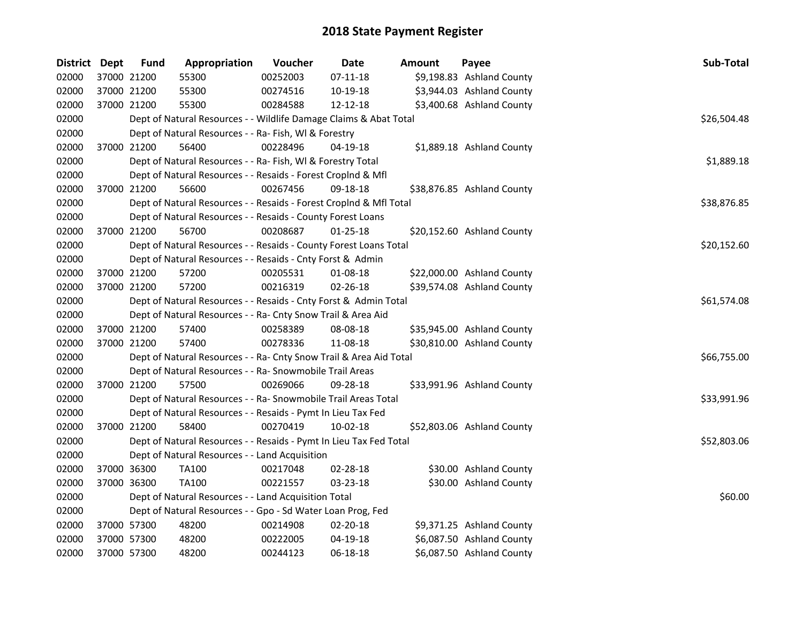| District Dept |             | <b>Fund</b> | Appropriation                                                      | Voucher  | <b>Date</b>    | Amount | Payee                      | Sub-Total   |
|---------------|-------------|-------------|--------------------------------------------------------------------|----------|----------------|--------|----------------------------|-------------|
| 02000         |             | 37000 21200 | 55300                                                              | 00252003 | $07-11-18$     |        | \$9,198.83 Ashland County  |             |
| 02000         | 37000 21200 |             | 55300                                                              | 00274516 | 10-19-18       |        | \$3,944.03 Ashland County  |             |
| 02000         |             | 37000 21200 | 55300                                                              | 00284588 | 12-12-18       |        | \$3,400.68 Ashland County  |             |
| 02000         |             |             | Dept of Natural Resources - - Wildlife Damage Claims & Abat Total  |          |                |        |                            | \$26,504.48 |
| 02000         |             |             | Dept of Natural Resources - - Ra- Fish, WI & Forestry              |          |                |        |                            |             |
| 02000         |             | 37000 21200 | 56400                                                              | 00228496 | $04-19-18$     |        | \$1,889.18 Ashland County  |             |
| 02000         |             |             | Dept of Natural Resources - - Ra- Fish, WI & Forestry Total        |          |                |        |                            | \$1,889.18  |
| 02000         |             |             | Dept of Natural Resources - - Resaids - Forest CropInd & Mfl       |          |                |        |                            |             |
| 02000         |             | 37000 21200 | 56600                                                              | 00267456 | 09-18-18       |        | \$38,876.85 Ashland County |             |
| 02000         |             |             | Dept of Natural Resources - - Resaids - Forest CropInd & Mfl Total |          |                |        |                            | \$38,876.85 |
| 02000         |             |             | Dept of Natural Resources - - Resaids - County Forest Loans        |          |                |        |                            |             |
| 02000         |             | 37000 21200 | 56700                                                              | 00208687 | $01 - 25 - 18$ |        | \$20,152.60 Ashland County |             |
| 02000         |             |             | Dept of Natural Resources - - Resaids - County Forest Loans Total  |          |                |        |                            | \$20,152.60 |
| 02000         |             |             | Dept of Natural Resources - - Resaids - Cnty Forst & Admin         |          |                |        |                            |             |
| 02000         |             | 37000 21200 | 57200                                                              | 00205531 | 01-08-18       |        | \$22,000.00 Ashland County |             |
| 02000         |             | 37000 21200 | 57200                                                              | 00216319 | 02-26-18       |        | \$39,574.08 Ashland County |             |
| 02000         |             |             | Dept of Natural Resources - - Resaids - Cnty Forst & Admin Total   |          |                |        |                            | \$61,574.08 |
| 02000         |             |             | Dept of Natural Resources - - Ra- Cnty Snow Trail & Area Aid       |          |                |        |                            |             |
| 02000         |             | 37000 21200 | 57400                                                              | 00258389 | 08-08-18       |        | \$35,945.00 Ashland County |             |
| 02000         |             | 37000 21200 | 57400                                                              | 00278336 | 11-08-18       |        | \$30,810.00 Ashland County |             |
| 02000         |             |             | Dept of Natural Resources - - Ra- Cnty Snow Trail & Area Aid Total |          |                |        |                            | \$66,755.00 |
| 02000         |             |             | Dept of Natural Resources - - Ra- Snowmobile Trail Areas           |          |                |        |                            |             |
| 02000         |             | 37000 21200 | 57500                                                              | 00269066 | 09-28-18       |        | \$33,991.96 Ashland County |             |
| 02000         |             |             | Dept of Natural Resources - - Ra- Snowmobile Trail Areas Total     |          |                |        |                            | \$33,991.96 |
| 02000         |             |             | Dept of Natural Resources - - Resaids - Pymt In Lieu Tax Fed       |          |                |        |                            |             |
| 02000         |             | 37000 21200 | 58400                                                              | 00270419 | $10-02-18$     |        | \$52,803.06 Ashland County |             |
| 02000         |             |             | Dept of Natural Resources - - Resaids - Pymt In Lieu Tax Fed Total |          |                |        |                            | \$52,803.06 |
| 02000         |             |             | Dept of Natural Resources - - Land Acquisition                     |          |                |        |                            |             |
| 02000         |             | 37000 36300 | <b>TA100</b>                                                       | 00217048 | 02-28-18       |        | \$30.00 Ashland County     |             |
| 02000         |             | 37000 36300 | <b>TA100</b>                                                       | 00221557 | 03-23-18       |        | \$30.00 Ashland County     |             |
| 02000         |             |             | Dept of Natural Resources - - Land Acquisition Total               |          |                |        |                            | \$60.00     |
| 02000         |             |             | Dept of Natural Resources - - Gpo - Sd Water Loan Prog, Fed        |          |                |        |                            |             |
| 02000         |             | 37000 57300 | 48200                                                              | 00214908 | 02-20-18       |        | \$9,371.25 Ashland County  |             |
| 02000         |             | 37000 57300 | 48200                                                              | 00222005 | 04-19-18       |        | \$6,087.50 Ashland County  |             |
| 02000         |             | 37000 57300 | 48200                                                              | 00244123 | 06-18-18       |        | \$6,087.50 Ashland County  |             |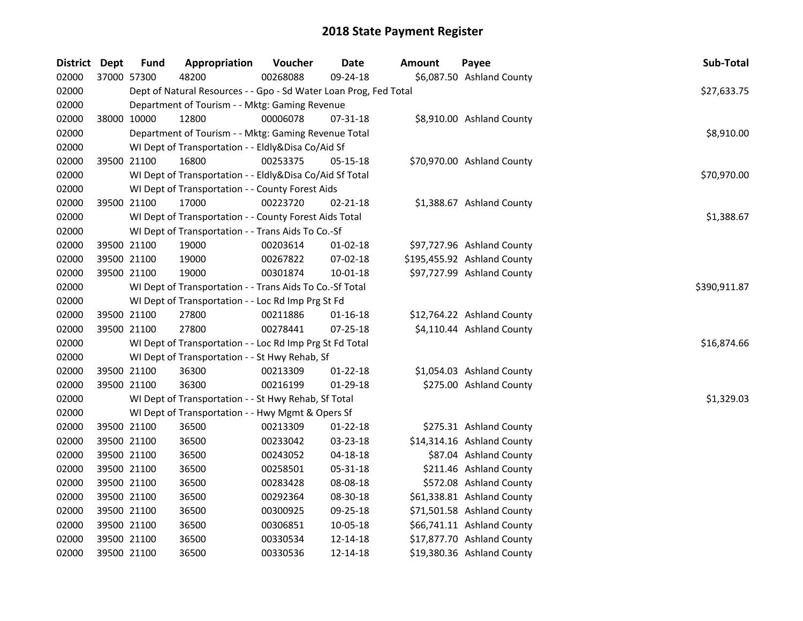| District Dept |             | <b>Fund</b> | Appropriation                                                            | Voucher  | <b>Date</b>    | Amount | Payee                       | Sub-Total   |  |  |  |
|---------------|-------------|-------------|--------------------------------------------------------------------------|----------|----------------|--------|-----------------------------|-------------|--|--|--|
| 02000         |             | 37000 57300 | 48200                                                                    | 00268088 | 09-24-18       |        | \$6,087.50 Ashland County   |             |  |  |  |
| 02000         |             |             | Dept of Natural Resources - - Gpo - Sd Water Loan Prog, Fed Total        |          |                |        |                             | \$27,633.75 |  |  |  |
| 02000         |             |             | Department of Tourism - - Mktg: Gaming Revenue                           |          |                |        |                             |             |  |  |  |
| 02000         |             | 38000 10000 | 12800                                                                    | 00006078 | 07-31-18       |        | \$8,910.00 Ashland County   |             |  |  |  |
| 02000         |             |             | Department of Tourism - - Mktg: Gaming Revenue Total                     |          |                |        |                             | \$8,910.00  |  |  |  |
| 02000         |             |             | WI Dept of Transportation - - Eldly&Disa Co/Aid Sf                       |          |                |        |                             |             |  |  |  |
| 02000         |             | 39500 21100 | 16800                                                                    | 00253375 | 05-15-18       |        | \$70,970.00 Ashland County  |             |  |  |  |
| 02000         |             |             | WI Dept of Transportation - - Eldly&Disa Co/Aid Sf Total                 |          |                |        |                             | \$70,970.00 |  |  |  |
| 02000         |             |             | WI Dept of Transportation - - County Forest Aids                         |          |                |        |                             |             |  |  |  |
| 02000         |             | 39500 21100 | 17000                                                                    | 00223720 | 02-21-18       |        | \$1,388.67 Ashland County   |             |  |  |  |
| 02000         |             |             | WI Dept of Transportation - - County Forest Aids Total                   |          |                |        |                             | \$1,388.67  |  |  |  |
| 02000         |             |             | WI Dept of Transportation - - Trans Aids To Co.-Sf                       |          |                |        |                             |             |  |  |  |
| 02000         |             | 39500 21100 | 19000                                                                    | 00203614 | 01-02-18       |        | \$97,727.96 Ashland County  |             |  |  |  |
| 02000         |             | 39500 21100 | 19000                                                                    | 00267822 | 07-02-18       |        | \$195,455.92 Ashland County |             |  |  |  |
| 02000         |             | 39500 21100 | 19000                                                                    | 00301874 | 10-01-18       |        | \$97,727.99 Ashland County  |             |  |  |  |
| 02000         |             |             | \$390,911.87<br>WI Dept of Transportation - - Trans Aids To Co.-Sf Total |          |                |        |                             |             |  |  |  |
| 02000         |             |             | WI Dept of Transportation - - Loc Rd Imp Prg St Fd                       |          |                |        |                             |             |  |  |  |
| 02000         |             | 39500 21100 | 27800                                                                    | 00211886 | $01 - 16 - 18$ |        | \$12,764.22 Ashland County  |             |  |  |  |
| 02000         |             | 39500 21100 | 27800                                                                    | 00278441 | 07-25-18       |        | \$4,110.44 Ashland County   |             |  |  |  |
| 02000         |             |             | WI Dept of Transportation - - Loc Rd Imp Prg St Fd Total                 |          |                |        |                             | \$16,874.66 |  |  |  |
| 02000         |             |             | WI Dept of Transportation - - St Hwy Rehab, Sf                           |          |                |        |                             |             |  |  |  |
| 02000         |             | 39500 21100 | 36300                                                                    | 00213309 | $01 - 22 - 18$ |        | \$1,054.03 Ashland County   |             |  |  |  |
| 02000         |             | 39500 21100 | 36300                                                                    | 00216199 | $01-29-18$     |        | \$275.00 Ashland County     |             |  |  |  |
| 02000         |             |             | WI Dept of Transportation - - St Hwy Rehab, Sf Total                     |          |                |        |                             | \$1,329.03  |  |  |  |
| 02000         |             |             | WI Dept of Transportation - - Hwy Mgmt & Opers Sf                        |          |                |        |                             |             |  |  |  |
| 02000         |             | 39500 21100 | 36500                                                                    | 00213309 | $01 - 22 - 18$ |        | \$275.31 Ashland County     |             |  |  |  |
| 02000         |             | 39500 21100 | 36500                                                                    | 00233042 | 03-23-18       |        | \$14,314.16 Ashland County  |             |  |  |  |
| 02000         |             | 39500 21100 | 36500                                                                    | 00243052 | $04 - 18 - 18$ |        | \$87.04 Ashland County      |             |  |  |  |
| 02000         |             | 39500 21100 | 36500                                                                    | 00258501 | 05-31-18       |        | \$211.46 Ashland County     |             |  |  |  |
| 02000         |             | 39500 21100 | 36500                                                                    | 00283428 | 08-08-18       |        | \$572.08 Ashland County     |             |  |  |  |
| 02000         |             | 39500 21100 | 36500                                                                    | 00292364 | 08-30-18       |        | \$61,338.81 Ashland County  |             |  |  |  |
| 02000         |             | 39500 21100 | 36500                                                                    | 00300925 | 09-25-18       |        | \$71,501.58 Ashland County  |             |  |  |  |
| 02000         | 39500 21100 |             | 36500                                                                    | 00306851 | 10-05-18       |        | \$66,741.11 Ashland County  |             |  |  |  |
| 02000         |             | 39500 21100 | 36500                                                                    | 00330534 | 12-14-18       |        | \$17,877.70 Ashland County  |             |  |  |  |
| 02000         |             | 39500 21100 | 36500                                                                    | 00330536 | 12-14-18       |        | \$19,380.36 Ashland County  |             |  |  |  |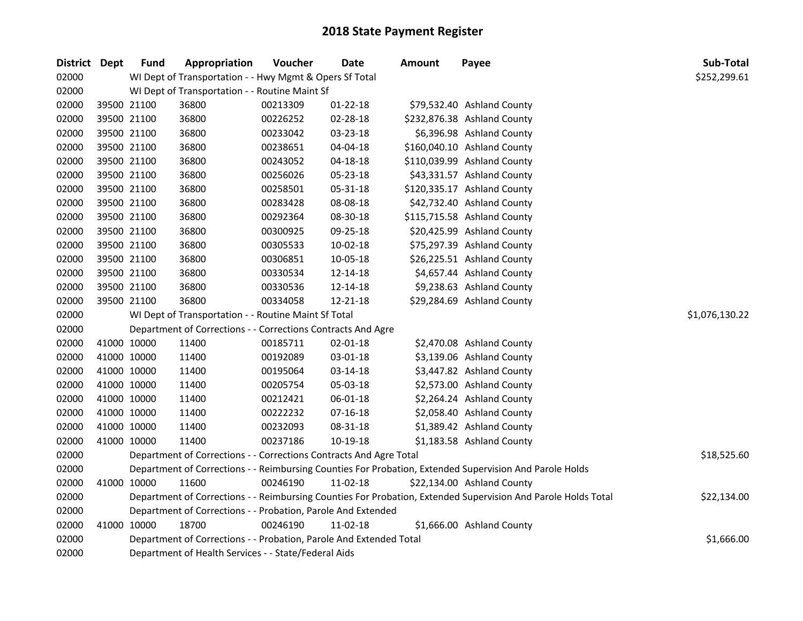| District Dept | <b>Fund</b> | Appropriation                                                      | Voucher  | <b>Date</b>    | <b>Amount</b> | Payee                                                                                                         | Sub-Total      |
|---------------|-------------|--------------------------------------------------------------------|----------|----------------|---------------|---------------------------------------------------------------------------------------------------------------|----------------|
| 02000         |             | WI Dept of Transportation - - Hwy Mgmt & Opers Sf Total            |          |                |               |                                                                                                               | \$252,299.61   |
| 02000         |             | WI Dept of Transportation - - Routine Maint Sf                     |          |                |               |                                                                                                               |                |
| 02000         | 39500 21100 | 36800                                                              | 00213309 | $01 - 22 - 18$ |               | \$79,532.40 Ashland County                                                                                    |                |
| 02000         | 39500 21100 | 36800                                                              | 00226252 | 02-28-18       |               | \$232,876.38 Ashland County                                                                                   |                |
| 02000         | 39500 21100 | 36800                                                              | 00233042 | 03-23-18       |               | \$6,396.98 Ashland County                                                                                     |                |
| 02000         | 39500 21100 | 36800                                                              | 00238651 | 04-04-18       |               | \$160,040.10 Ashland County                                                                                   |                |
| 02000         | 39500 21100 | 36800                                                              | 00243052 | 04-18-18       |               | \$110,039.99 Ashland County                                                                                   |                |
| 02000         | 39500 21100 | 36800                                                              | 00256026 | 05-23-18       |               | \$43,331.57 Ashland County                                                                                    |                |
| 02000         | 39500 21100 | 36800                                                              | 00258501 | 05-31-18       |               | \$120,335.17 Ashland County                                                                                   |                |
| 02000         | 39500 21100 | 36800                                                              | 00283428 | 08-08-18       |               | \$42,732.40 Ashland County                                                                                    |                |
| 02000         | 39500 21100 | 36800                                                              | 00292364 | 08-30-18       |               | \$115,715.58 Ashland County                                                                                   |                |
| 02000         | 39500 21100 | 36800                                                              | 00300925 | 09-25-18       |               | \$20,425.99 Ashland County                                                                                    |                |
| 02000         | 39500 21100 | 36800                                                              | 00305533 | 10-02-18       |               | \$75,297.39 Ashland County                                                                                    |                |
| 02000         | 39500 21100 | 36800                                                              | 00306851 | 10-05-18       |               | \$26,225.51 Ashland County                                                                                    |                |
| 02000         | 39500 21100 | 36800                                                              | 00330534 | 12-14-18       |               | \$4,657.44 Ashland County                                                                                     |                |
| 02000         | 39500 21100 | 36800                                                              | 00330536 | 12-14-18       |               | \$9,238.63 Ashland County                                                                                     |                |
| 02000         | 39500 21100 | 36800                                                              | 00334058 | 12-21-18       |               | \$29,284.69 Ashland County                                                                                    |                |
| 02000         |             | WI Dept of Transportation - - Routine Maint Sf Total               |          |                |               |                                                                                                               | \$1,076,130.22 |
| 02000         |             | Department of Corrections - - Corrections Contracts And Agre       |          |                |               |                                                                                                               |                |
| 02000         | 41000 10000 | 11400                                                              | 00185711 | 02-01-18       |               | \$2,470.08 Ashland County                                                                                     |                |
| 02000         | 41000 10000 | 11400                                                              | 00192089 | 03-01-18       |               | \$3,139.06 Ashland County                                                                                     |                |
| 02000         | 41000 10000 | 11400                                                              | 00195064 | 03-14-18       |               | \$3,447.82 Ashland County                                                                                     |                |
| 02000         | 41000 10000 | 11400                                                              | 00205754 | 05-03-18       |               | \$2,573.00 Ashland County                                                                                     |                |
| 02000         | 41000 10000 | 11400                                                              | 00212421 | 06-01-18       |               | \$2,264.24 Ashland County                                                                                     |                |
| 02000         | 41000 10000 | 11400                                                              | 00222232 | $07 - 16 - 18$ |               | \$2,058.40 Ashland County                                                                                     |                |
| 02000         | 41000 10000 | 11400                                                              | 00232093 | 08-31-18       |               | \$1,389.42 Ashland County                                                                                     |                |
| 02000         | 41000 10000 | 11400                                                              | 00237186 | 10-19-18       |               | \$1,183.58 Ashland County                                                                                     |                |
| 02000         |             | Department of Corrections - - Corrections Contracts And Agre Total |          |                |               |                                                                                                               | \$18,525.60    |
| 02000         |             |                                                                    |          |                |               | Department of Corrections - - Reimbursing Counties For Probation, Extended Supervision And Parole Holds       |                |
| 02000         | 41000 10000 | 11600                                                              | 00246190 | 11-02-18       |               | \$22,134.00 Ashland County                                                                                    |                |
| 02000         |             |                                                                    |          |                |               | Department of Corrections - - Reimbursing Counties For Probation, Extended Supervision And Parole Holds Total | \$22,134.00    |
| 02000         |             | Department of Corrections - - Probation, Parole And Extended       |          |                |               |                                                                                                               |                |
| 02000         | 41000 10000 | 18700                                                              | 00246190 | 11-02-18       |               | \$1,666.00 Ashland County                                                                                     |                |
| 02000         |             | Department of Corrections - - Probation, Parole And Extended Total |          |                |               |                                                                                                               | \$1,666.00     |
| 02000         |             | Department of Health Services - - State/Federal Aids               |          |                |               |                                                                                                               |                |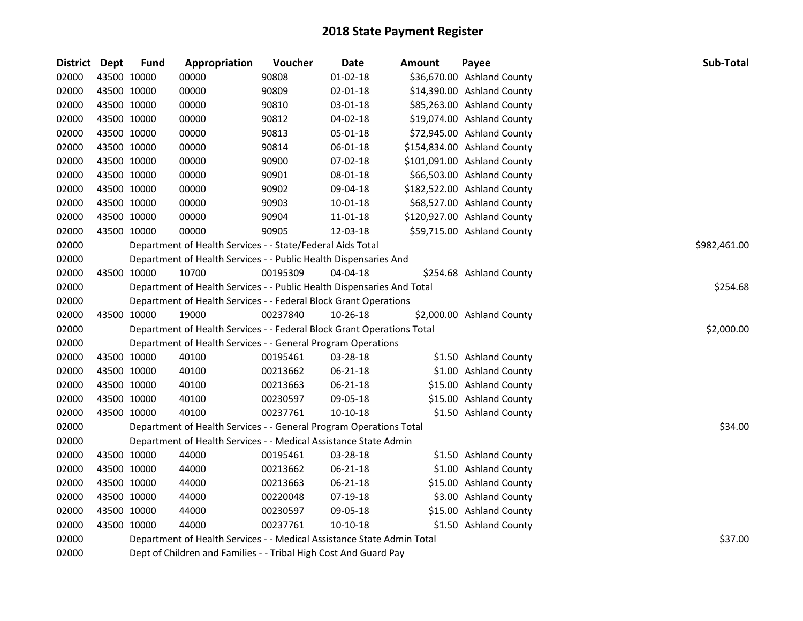| <b>District</b> | Dept        | <b>Fund</b>                                                      | Appropriation                                                          | Voucher  | Date       | Amount | Payee                       | Sub-Total    |  |  |
|-----------------|-------------|------------------------------------------------------------------|------------------------------------------------------------------------|----------|------------|--------|-----------------------------|--------------|--|--|
| 02000           | 43500 10000 |                                                                  | 00000                                                                  | 90808    | 01-02-18   |        | \$36,670.00 Ashland County  |              |  |  |
| 02000           |             | 43500 10000                                                      | 00000                                                                  | 90809    | 02-01-18   |        | \$14,390.00 Ashland County  |              |  |  |
| 02000           | 43500 10000 |                                                                  | 00000                                                                  | 90810    | 03-01-18   |        | \$85,263.00 Ashland County  |              |  |  |
| 02000           |             | 43500 10000                                                      | 00000                                                                  | 90812    | 04-02-18   |        | \$19,074.00 Ashland County  |              |  |  |
| 02000           |             | 43500 10000                                                      | 00000                                                                  | 90813    | 05-01-18   |        | \$72,945.00 Ashland County  |              |  |  |
| 02000           |             | 43500 10000                                                      | 00000                                                                  | 90814    | 06-01-18   |        | \$154,834.00 Ashland County |              |  |  |
| 02000           |             | 43500 10000                                                      | 00000                                                                  | 90900    | 07-02-18   |        | \$101,091.00 Ashland County |              |  |  |
| 02000           |             | 43500 10000                                                      | 00000                                                                  | 90901    | 08-01-18   |        | \$66,503.00 Ashland County  |              |  |  |
| 02000           | 43500 10000 |                                                                  | 00000                                                                  | 90902    | 09-04-18   |        | \$182,522.00 Ashland County |              |  |  |
| 02000           | 43500 10000 |                                                                  | 00000                                                                  | 90903    | 10-01-18   |        | \$68,527.00 Ashland County  |              |  |  |
| 02000           | 43500 10000 |                                                                  | 00000                                                                  | 90904    | 11-01-18   |        | \$120,927.00 Ashland County |              |  |  |
| 02000           | 43500 10000 |                                                                  | 00000                                                                  | 90905    | 12-03-18   |        | \$59,715.00 Ashland County  |              |  |  |
| 02000           |             |                                                                  | Department of Health Services - - State/Federal Aids Total             |          |            |        |                             | \$982,461.00 |  |  |
| 02000           |             |                                                                  | Department of Health Services - - Public Health Dispensaries And       |          |            |        |                             |              |  |  |
| 02000           |             | 43500 10000                                                      | 10700                                                                  | 00195309 | 04-04-18   |        | \$254.68 Ashland County     |              |  |  |
| 02000           |             |                                                                  | Department of Health Services - - Public Health Dispensaries And Total | \$254.68 |            |        |                             |              |  |  |
| 02000           |             |                                                                  | Department of Health Services - - Federal Block Grant Operations       |          |            |        |                             |              |  |  |
| 02000           |             | 43500 10000                                                      | 19000                                                                  | 00237840 | 10-26-18   |        | \$2,000.00 Ashland County   |              |  |  |
| 02000           |             |                                                                  | Department of Health Services - - Federal Block Grant Operations Total |          |            |        |                             | \$2,000.00   |  |  |
| 02000           |             |                                                                  | Department of Health Services - - General Program Operations           |          |            |        |                             |              |  |  |
| 02000           | 43500 10000 |                                                                  | 40100                                                                  | 00195461 | 03-28-18   |        | \$1.50 Ashland County       |              |  |  |
| 02000           | 43500 10000 |                                                                  | 40100                                                                  | 00213662 | 06-21-18   |        | \$1.00 Ashland County       |              |  |  |
| 02000           | 43500 10000 |                                                                  | 40100                                                                  | 00213663 | 06-21-18   |        | \$15.00 Ashland County      |              |  |  |
| 02000           | 43500 10000 |                                                                  | 40100                                                                  | 00230597 | 09-05-18   |        | \$15.00 Ashland County      |              |  |  |
| 02000           | 43500 10000 |                                                                  | 40100                                                                  | 00237761 | $10-10-18$ |        | \$1.50 Ashland County       |              |  |  |
| 02000           |             |                                                                  | Department of Health Services - - General Program Operations Total     |          |            |        |                             | \$34.00      |  |  |
| 02000           |             |                                                                  | Department of Health Services - - Medical Assistance State Admin       |          |            |        |                             |              |  |  |
| 02000           |             | 43500 10000                                                      | 44000                                                                  | 00195461 | 03-28-18   |        | \$1.50 Ashland County       |              |  |  |
| 02000           |             | 43500 10000                                                      | 44000                                                                  | 00213662 | 06-21-18   |        | \$1.00 Ashland County       |              |  |  |
| 02000           |             | 43500 10000                                                      | 44000                                                                  | 00213663 | 06-21-18   |        | \$15.00 Ashland County      |              |  |  |
| 02000           | 43500 10000 |                                                                  | 44000                                                                  | 00220048 | 07-19-18   |        | \$3.00 Ashland County       |              |  |  |
| 02000           | 43500 10000 |                                                                  | 44000                                                                  | 00230597 | 09-05-18   |        | \$15.00 Ashland County      |              |  |  |
| 02000           | 43500 10000 |                                                                  | 44000                                                                  | 00237761 | 10-10-18   |        | \$1.50 Ashland County       |              |  |  |
| 02000           |             |                                                                  | Department of Health Services - - Medical Assistance State Admin Total |          |            |        |                             | \$37.00      |  |  |
| 02000           |             | Dept of Children and Families - - Tribal High Cost And Guard Pay |                                                                        |          |            |        |                             |              |  |  |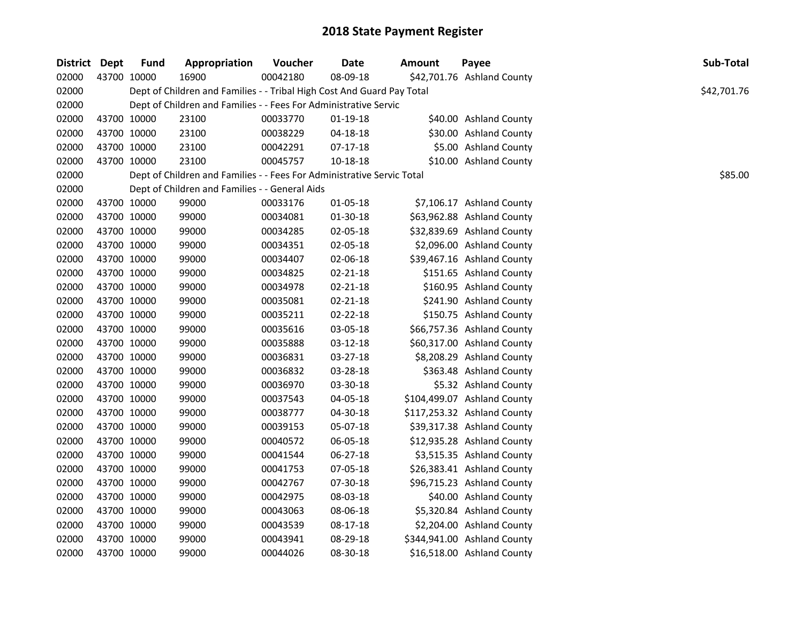| District | Dept | <b>Fund</b> | Appropriation                                                          | Voucher  | <b>Date</b>    | Amount | Payee                       | Sub-Total   |
|----------|------|-------------|------------------------------------------------------------------------|----------|----------------|--------|-----------------------------|-------------|
| 02000    |      | 43700 10000 | 16900                                                                  | 00042180 | 08-09-18       |        | \$42,701.76 Ashland County  |             |
| 02000    |      |             | Dept of Children and Families - - Tribal High Cost And Guard Pay Total |          |                |        |                             | \$42,701.76 |
| 02000    |      |             | Dept of Children and Families - - Fees For Administrative Servic       |          |                |        |                             |             |
| 02000    |      | 43700 10000 | 23100                                                                  | 00033770 | $01-19-18$     |        | \$40.00 Ashland County      |             |
| 02000    |      | 43700 10000 | 23100                                                                  | 00038229 | 04-18-18       |        | \$30.00 Ashland County      |             |
| 02000    |      | 43700 10000 | 23100                                                                  | 00042291 | $07-17-18$     |        | \$5.00 Ashland County       |             |
| 02000    |      | 43700 10000 | 23100                                                                  | 00045757 | 10-18-18       |        | \$10.00 Ashland County      |             |
| 02000    |      |             | Dept of Children and Families - - Fees For Administrative Servic Total |          |                |        |                             | \$85.00     |
| 02000    |      |             | Dept of Children and Families - - General Aids                         |          |                |        |                             |             |
| 02000    |      | 43700 10000 | 99000                                                                  | 00033176 | 01-05-18       |        | \$7,106.17 Ashland County   |             |
| 02000    |      | 43700 10000 | 99000                                                                  | 00034081 | 01-30-18       |        | \$63,962.88 Ashland County  |             |
| 02000    |      | 43700 10000 | 99000                                                                  | 00034285 | 02-05-18       |        | \$32,839.69 Ashland County  |             |
| 02000    |      | 43700 10000 | 99000                                                                  | 00034351 | 02-05-18       |        | \$2,096.00 Ashland County   |             |
| 02000    |      | 43700 10000 | 99000                                                                  | 00034407 | 02-06-18       |        | \$39,467.16 Ashland County  |             |
| 02000    |      | 43700 10000 | 99000                                                                  | 00034825 | 02-21-18       |        | \$151.65 Ashland County     |             |
| 02000    |      | 43700 10000 | 99000                                                                  | 00034978 | $02 - 21 - 18$ |        | \$160.95 Ashland County     |             |
| 02000    |      | 43700 10000 | 99000                                                                  | 00035081 | 02-21-18       |        | \$241.90 Ashland County     |             |
| 02000    |      | 43700 10000 | 99000                                                                  | 00035211 | $02 - 22 - 18$ |        | \$150.75 Ashland County     |             |
| 02000    |      | 43700 10000 | 99000                                                                  | 00035616 | 03-05-18       |        | \$66,757.36 Ashland County  |             |
| 02000    |      | 43700 10000 | 99000                                                                  | 00035888 | 03-12-18       |        | \$60,317.00 Ashland County  |             |
| 02000    |      | 43700 10000 | 99000                                                                  | 00036831 | 03-27-18       |        | \$8,208.29 Ashland County   |             |
| 02000    |      | 43700 10000 | 99000                                                                  | 00036832 | 03-28-18       |        | \$363.48 Ashland County     |             |
| 02000    |      | 43700 10000 | 99000                                                                  | 00036970 | 03-30-18       |        | \$5.32 Ashland County       |             |
| 02000    |      | 43700 10000 | 99000                                                                  | 00037543 | 04-05-18       |        | \$104,499.07 Ashland County |             |
| 02000    |      | 43700 10000 | 99000                                                                  | 00038777 | 04-30-18       |        | \$117,253.32 Ashland County |             |
| 02000    |      | 43700 10000 | 99000                                                                  | 00039153 | 05-07-18       |        | \$39,317.38 Ashland County  |             |
| 02000    |      | 43700 10000 | 99000                                                                  | 00040572 | 06-05-18       |        | \$12,935.28 Ashland County  |             |
| 02000    |      | 43700 10000 | 99000                                                                  | 00041544 | 06-27-18       |        | \$3,515.35 Ashland County   |             |
| 02000    |      | 43700 10000 | 99000                                                                  | 00041753 | 07-05-18       |        | \$26,383.41 Ashland County  |             |
| 02000    |      | 43700 10000 | 99000                                                                  | 00042767 | 07-30-18       |        | \$96,715.23 Ashland County  |             |
| 02000    |      | 43700 10000 | 99000                                                                  | 00042975 | 08-03-18       |        | \$40.00 Ashland County      |             |
| 02000    |      | 43700 10000 | 99000                                                                  | 00043063 | 08-06-18       |        | \$5,320.84 Ashland County   |             |
| 02000    |      | 43700 10000 | 99000                                                                  | 00043539 | 08-17-18       |        | \$2,204.00 Ashland County   |             |
| 02000    |      | 43700 10000 | 99000                                                                  | 00043941 | 08-29-18       |        | \$344,941.00 Ashland County |             |
| 02000    |      | 43700 10000 | 99000                                                                  | 00044026 | 08-30-18       |        | \$16,518.00 Ashland County  |             |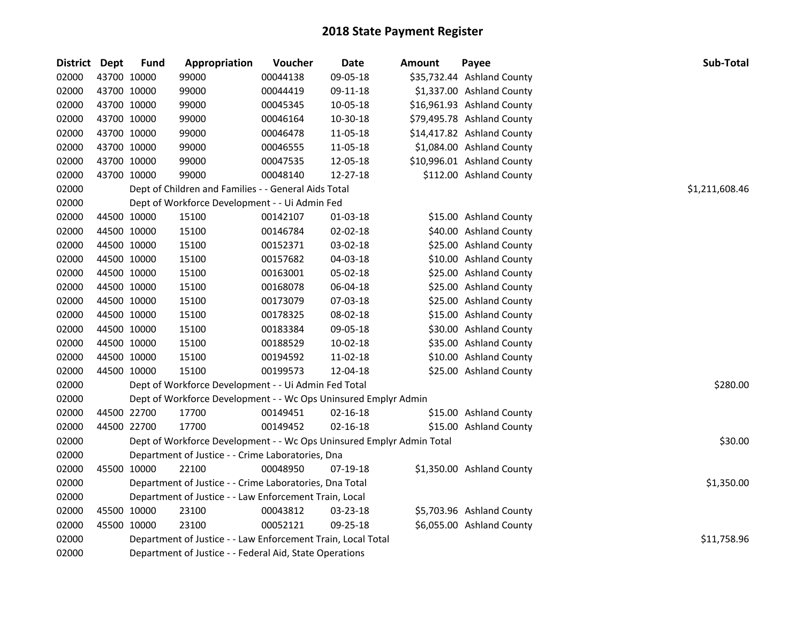| District Dept |             | <b>Fund</b> | Appropriation                                                         | Voucher        | <b>Date</b>    | <b>Amount</b> | Payee                      | Sub-Total   |
|---------------|-------------|-------------|-----------------------------------------------------------------------|----------------|----------------|---------------|----------------------------|-------------|
| 02000         |             | 43700 10000 | 99000                                                                 | 00044138       | 09-05-18       |               | \$35,732.44 Ashland County |             |
| 02000         |             | 43700 10000 | 99000                                                                 | 00044419       | 09-11-18       |               | \$1,337.00 Ashland County  |             |
| 02000         |             | 43700 10000 | 99000                                                                 | 00045345       | 10-05-18       |               | \$16,961.93 Ashland County |             |
| 02000         |             | 43700 10000 | 99000                                                                 | 00046164       | 10-30-18       |               | \$79,495.78 Ashland County |             |
| 02000         |             | 43700 10000 | 99000                                                                 | 00046478       | 11-05-18       |               | \$14,417.82 Ashland County |             |
| 02000         |             | 43700 10000 | 99000                                                                 | 00046555       | 11-05-18       |               | \$1,084.00 Ashland County  |             |
| 02000         |             | 43700 10000 | 99000                                                                 | 00047535       | 12-05-18       |               | \$10,996.01 Ashland County |             |
| 02000         | 43700 10000 |             | 99000                                                                 | 00048140       | 12-27-18       |               | \$112.00 Ashland County    |             |
| 02000         |             |             | Dept of Children and Families - - General Aids Total                  | \$1,211,608.46 |                |               |                            |             |
| 02000         |             |             | Dept of Workforce Development - - Ui Admin Fed                        |                |                |               |                            |             |
| 02000         |             | 44500 10000 | 15100                                                                 | 00142107       | 01-03-18       |               | \$15.00 Ashland County     |             |
| 02000         |             | 44500 10000 | 15100                                                                 | 00146784       | 02-02-18       |               | \$40.00 Ashland County     |             |
| 02000         |             | 44500 10000 | 15100                                                                 | 00152371       | 03-02-18       |               | \$25.00 Ashland County     |             |
| 02000         |             | 44500 10000 | 15100                                                                 | 00157682       | 04-03-18       |               | \$10.00 Ashland County     |             |
| 02000         |             | 44500 10000 | 15100                                                                 | 00163001       | 05-02-18       |               | \$25.00 Ashland County     |             |
| 02000         |             | 44500 10000 | 15100                                                                 | 00168078       | 06-04-18       |               | \$25.00 Ashland County     |             |
| 02000         |             | 44500 10000 | 15100                                                                 | 00173079       | 07-03-18       |               | \$25.00 Ashland County     |             |
| 02000         |             | 44500 10000 | 15100                                                                 | 00178325       | 08-02-18       |               | \$15.00 Ashland County     |             |
| 02000         |             | 44500 10000 | 15100                                                                 | 00183384       | 09-05-18       |               | \$30.00 Ashland County     |             |
| 02000         |             | 44500 10000 | 15100                                                                 | 00188529       | 10-02-18       |               | \$35.00 Ashland County     |             |
| 02000         |             | 44500 10000 | 15100                                                                 | 00194592       | 11-02-18       |               | \$10.00 Ashland County     |             |
| 02000         |             | 44500 10000 | 15100                                                                 | 00199573       | 12-04-18       |               | \$25.00 Ashland County     |             |
| 02000         |             |             | Dept of Workforce Development - - Ui Admin Fed Total                  |                |                |               |                            | \$280.00    |
| 02000         |             |             | Dept of Workforce Development - - Wc Ops Uninsured Emplyr Admin       |                |                |               |                            |             |
| 02000         |             | 44500 22700 | 17700                                                                 | 00149451       | 02-16-18       |               | \$15.00 Ashland County     |             |
| 02000         |             | 44500 22700 | 17700                                                                 | 00149452       | $02 - 16 - 18$ |               | \$15.00 Ashland County     |             |
| 02000         |             |             | Dept of Workforce Development - - Wc Ops Uninsured Emplyr Admin Total |                |                |               |                            | \$30.00     |
| 02000         |             |             | Department of Justice - - Crime Laboratories, Dna                     |                |                |               |                            |             |
| 02000         | 45500 10000 |             | 22100                                                                 | 00048950       | 07-19-18       |               | \$1,350.00 Ashland County  |             |
| 02000         |             |             | Department of Justice - - Crime Laboratories, Dna Total               |                |                |               |                            | \$1,350.00  |
| 02000         |             |             | Department of Justice - - Law Enforcement Train, Local                |                |                |               |                            |             |
| 02000         |             | 45500 10000 | 23100                                                                 | 00043812       | 03-23-18       |               | \$5,703.96 Ashland County  |             |
| 02000         |             | 45500 10000 | 23100                                                                 | 00052121       | 09-25-18       |               | \$6,055.00 Ashland County  |             |
| 02000         |             |             | Department of Justice - - Law Enforcement Train, Local Total          |                |                |               |                            | \$11,758.96 |
| 02000         |             |             | Department of Justice - - Federal Aid, State Operations               |                |                |               |                            |             |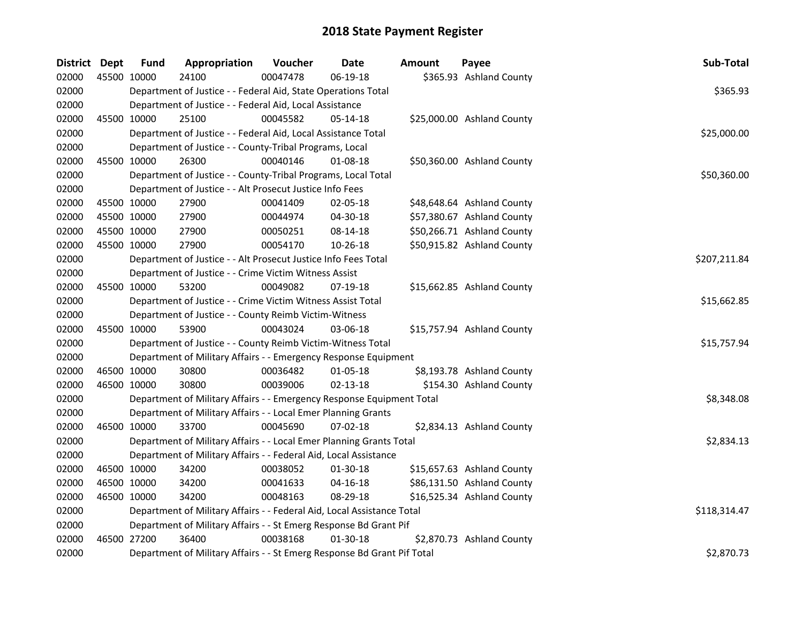| District Dept |             | <b>Fund</b> | Appropriation                                                           | Voucher  | <b>Date</b>    | Amount | Payee                      | Sub-Total    |  |  |  |
|---------------|-------------|-------------|-------------------------------------------------------------------------|----------|----------------|--------|----------------------------|--------------|--|--|--|
| 02000         |             | 45500 10000 | 24100                                                                   | 00047478 | 06-19-18       |        | \$365.93 Ashland County    |              |  |  |  |
| 02000         |             |             | Department of Justice - - Federal Aid, State Operations Total           |          |                |        |                            | \$365.93     |  |  |  |
| 02000         |             |             | Department of Justice - - Federal Aid, Local Assistance                 |          |                |        |                            |              |  |  |  |
| 02000         | 45500 10000 |             | 25100                                                                   | 00045582 | $05-14-18$     |        | \$25,000.00 Ashland County |              |  |  |  |
| 02000         |             |             | Department of Justice - - Federal Aid, Local Assistance Total           |          |                |        |                            | \$25,000.00  |  |  |  |
| 02000         |             |             | Department of Justice - - County-Tribal Programs, Local                 |          |                |        |                            |              |  |  |  |
| 02000         |             | 45500 10000 | 26300                                                                   | 00040146 | 01-08-18       |        | \$50,360.00 Ashland County |              |  |  |  |
| 02000         |             |             | Department of Justice - - County-Tribal Programs, Local Total           |          |                |        |                            | \$50,360.00  |  |  |  |
| 02000         |             |             | Department of Justice - - Alt Prosecut Justice Info Fees                |          |                |        |                            |              |  |  |  |
| 02000         |             | 45500 10000 | 27900                                                                   | 00041409 | 02-05-18       |        | \$48,648.64 Ashland County |              |  |  |  |
| 02000         |             | 45500 10000 | 27900                                                                   | 00044974 | 04-30-18       |        | \$57,380.67 Ashland County |              |  |  |  |
| 02000         | 45500 10000 |             | 27900                                                                   | 00050251 | 08-14-18       |        | \$50,266.71 Ashland County |              |  |  |  |
| 02000         | 45500 10000 |             | 27900                                                                   | 00054170 | 10-26-18       |        | \$50,915.82 Ashland County |              |  |  |  |
| 02000         |             |             | Department of Justice - - Alt Prosecut Justice Info Fees Total          |          |                |        |                            | \$207,211.84 |  |  |  |
| 02000         |             |             | Department of Justice - - Crime Victim Witness Assist                   |          |                |        |                            |              |  |  |  |
| 02000         | 45500 10000 |             | 53200                                                                   | 00049082 | 07-19-18       |        | \$15,662.85 Ashland County |              |  |  |  |
| 02000         |             |             | Department of Justice - - Crime Victim Witness Assist Total             |          |                |        |                            | \$15,662.85  |  |  |  |
| 02000         |             |             | Department of Justice - - County Reimb Victim-Witness                   |          |                |        |                            |              |  |  |  |
| 02000         | 45500 10000 |             | 53900                                                                   | 00043024 | 03-06-18       |        | \$15,757.94 Ashland County |              |  |  |  |
| 02000         |             |             | Department of Justice - - County Reimb Victim-Witness Total             |          |                |        |                            | \$15,757.94  |  |  |  |
| 02000         |             |             | Department of Military Affairs - - Emergency Response Equipment         |          |                |        |                            |              |  |  |  |
| 02000         |             | 46500 10000 | 30800                                                                   | 00036482 | 01-05-18       |        | \$8,193.78 Ashland County  |              |  |  |  |
| 02000         | 46500 10000 |             | 30800                                                                   | 00039006 | 02-13-18       |        | \$154.30 Ashland County    |              |  |  |  |
| 02000         |             |             | Department of Military Affairs - - Emergency Response Equipment Total   |          |                |        |                            | \$8,348.08   |  |  |  |
| 02000         |             |             | Department of Military Affairs - - Local Emer Planning Grants           |          |                |        |                            |              |  |  |  |
| 02000         | 46500 10000 |             | 33700                                                                   | 00045690 | $07 - 02 - 18$ |        | \$2,834.13 Ashland County  |              |  |  |  |
| 02000         |             |             | Department of Military Affairs - - Local Emer Planning Grants Total     |          |                |        |                            | \$2,834.13   |  |  |  |
| 02000         |             |             | Department of Military Affairs - - Federal Aid, Local Assistance        |          |                |        |                            |              |  |  |  |
| 02000         |             | 46500 10000 | 34200                                                                   | 00038052 | 01-30-18       |        | \$15,657.63 Ashland County |              |  |  |  |
| 02000         |             | 46500 10000 | 34200                                                                   | 00041633 | 04-16-18       |        | \$86,131.50 Ashland County |              |  |  |  |
| 02000         | 46500 10000 |             | 34200                                                                   | 00048163 | $08-29-18$     |        | \$16,525.34 Ashland County |              |  |  |  |
| 02000         |             |             | Department of Military Affairs - - Federal Aid, Local Assistance Total  |          |                |        |                            | \$118,314.47 |  |  |  |
| 02000         |             |             | Department of Military Affairs - - St Emerg Response Bd Grant Pif       |          |                |        |                            |              |  |  |  |
| 02000         |             | 46500 27200 | 36400                                                                   | 00038168 | $01-30-18$     |        | \$2,870.73 Ashland County  |              |  |  |  |
| 02000         |             |             | Department of Military Affairs - - St Emerg Response Bd Grant Pif Total |          |                |        |                            | \$2,870.73   |  |  |  |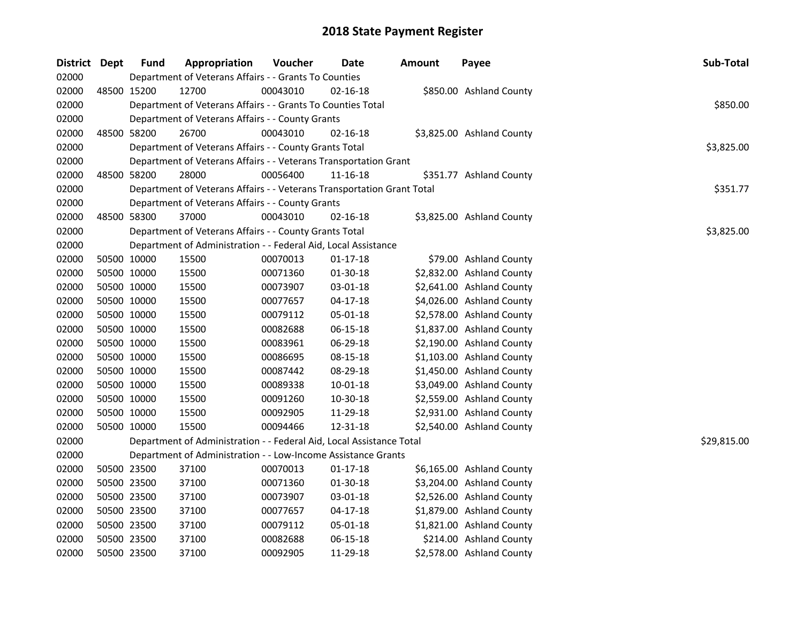| District Dept | <b>Fund</b> | Appropriation                                                          | Voucher  | Date           | Amount | Payee                     | Sub-Total   |
|---------------|-------------|------------------------------------------------------------------------|----------|----------------|--------|---------------------------|-------------|
| 02000         |             | Department of Veterans Affairs - - Grants To Counties                  |          |                |        |                           |             |
| 02000         | 48500 15200 | 12700                                                                  | 00043010 | $02 - 16 - 18$ |        | \$850.00 Ashland County   |             |
| 02000         |             | Department of Veterans Affairs - - Grants To Counties Total            |          |                |        |                           | \$850.00    |
| 02000         |             | Department of Veterans Affairs - - County Grants                       |          |                |        |                           |             |
| 02000         | 48500 58200 | 26700                                                                  | 00043010 | 02-16-18       |        | \$3,825.00 Ashland County |             |
| 02000         |             | Department of Veterans Affairs - - County Grants Total                 |          |                |        |                           | \$3,825.00  |
| 02000         |             | Department of Veterans Affairs - - Veterans Transportation Grant       |          |                |        |                           |             |
| 02000         | 48500 58200 | 28000                                                                  | 00056400 | 11-16-18       |        | \$351.77 Ashland County   |             |
| 02000         |             | Department of Veterans Affairs - - Veterans Transportation Grant Total |          |                |        |                           | \$351.77    |
| 02000         |             | Department of Veterans Affairs - - County Grants                       |          |                |        |                           |             |
| 02000         | 48500 58300 | 37000                                                                  | 00043010 | 02-16-18       |        | \$3,825.00 Ashland County |             |
| 02000         |             | Department of Veterans Affairs - - County Grants Total                 |          |                |        |                           | \$3,825.00  |
| 02000         |             | Department of Administration - - Federal Aid, Local Assistance         |          |                |        |                           |             |
| 02000         | 50500 10000 | 15500                                                                  | 00070013 | 01-17-18       |        | \$79.00 Ashland County    |             |
| 02000         | 50500 10000 | 15500                                                                  | 00071360 | 01-30-18       |        | \$2,832.00 Ashland County |             |
| 02000         | 50500 10000 | 15500                                                                  | 00073907 | 03-01-18       |        | \$2,641.00 Ashland County |             |
| 02000         | 50500 10000 | 15500                                                                  | 00077657 | $04 - 17 - 18$ |        | \$4,026.00 Ashland County |             |
| 02000         | 50500 10000 | 15500                                                                  | 00079112 | 05-01-18       |        | \$2,578.00 Ashland County |             |
| 02000         | 50500 10000 | 15500                                                                  | 00082688 | 06-15-18       |        | \$1,837.00 Ashland County |             |
| 02000         | 50500 10000 | 15500                                                                  | 00083961 | 06-29-18       |        | \$2,190.00 Ashland County |             |
| 02000         | 50500 10000 | 15500                                                                  | 00086695 | 08-15-18       |        | \$1,103.00 Ashland County |             |
| 02000         | 50500 10000 | 15500                                                                  | 00087442 | 08-29-18       |        | \$1,450.00 Ashland County |             |
| 02000         | 50500 10000 | 15500                                                                  | 00089338 | $10 - 01 - 18$ |        | \$3,049.00 Ashland County |             |
| 02000         | 50500 10000 | 15500                                                                  | 00091260 | 10-30-18       |        | \$2,559.00 Ashland County |             |
| 02000         | 50500 10000 | 15500                                                                  | 00092905 | 11-29-18       |        | \$2,931.00 Ashland County |             |
| 02000         | 50500 10000 | 15500                                                                  | 00094466 | 12-31-18       |        | \$2,540.00 Ashland County |             |
| 02000         |             | Department of Administration - - Federal Aid, Local Assistance Total   |          |                |        |                           | \$29,815.00 |
| 02000         |             | Department of Administration - - Low-Income Assistance Grants          |          |                |        |                           |             |
| 02000         | 50500 23500 | 37100                                                                  | 00070013 | $01 - 17 - 18$ |        | \$6,165.00 Ashland County |             |
| 02000         | 50500 23500 | 37100                                                                  | 00071360 | 01-30-18       |        | \$3,204.00 Ashland County |             |
| 02000         | 50500 23500 | 37100                                                                  | 00073907 | 03-01-18       |        | \$2,526.00 Ashland County |             |
| 02000         | 50500 23500 | 37100                                                                  | 00077657 | $04 - 17 - 18$ |        | \$1,879.00 Ashland County |             |
| 02000         | 50500 23500 | 37100                                                                  | 00079112 | 05-01-18       |        | \$1,821.00 Ashland County |             |
| 02000         | 50500 23500 | 37100                                                                  | 00082688 | 06-15-18       |        | \$214.00 Ashland County   |             |
| 02000         | 50500 23500 | 37100                                                                  | 00092905 | 11-29-18       |        | \$2,578.00 Ashland County |             |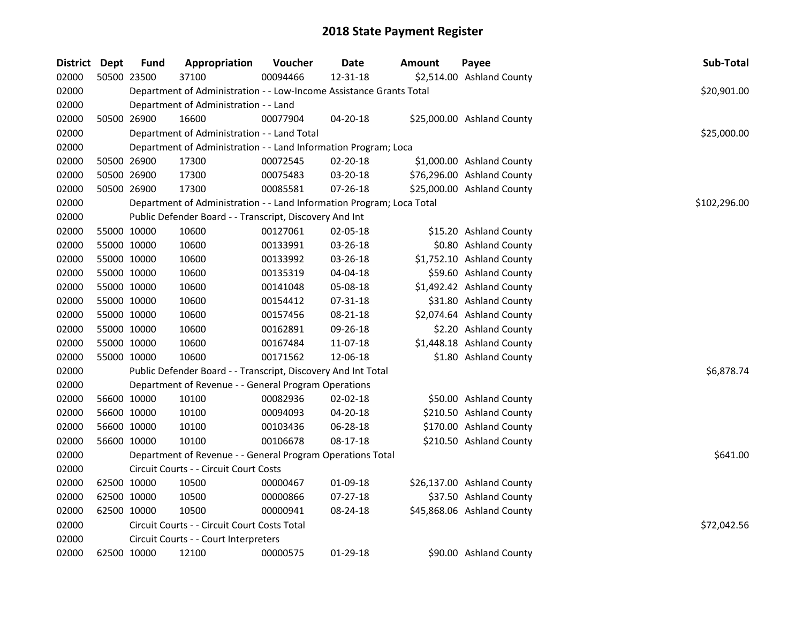| District Dept | <b>Fund</b> | Appropriation                                                         | Voucher  | <b>Date</b>    | <b>Amount</b> | Payee                      | Sub-Total    |
|---------------|-------------|-----------------------------------------------------------------------|----------|----------------|---------------|----------------------------|--------------|
| 02000         | 50500 23500 | 37100                                                                 | 00094466 | 12-31-18       |               | \$2,514.00 Ashland County  |              |
| 02000         |             | Department of Administration - - Low-Income Assistance Grants Total   |          |                |               |                            | \$20,901.00  |
| 02000         |             | Department of Administration - - Land                                 |          |                |               |                            |              |
| 02000         | 50500 26900 | 16600                                                                 | 00077904 | 04-20-18       |               | \$25,000.00 Ashland County |              |
| 02000         |             | Department of Administration - - Land Total                           |          |                |               |                            | \$25,000.00  |
| 02000         |             | Department of Administration - - Land Information Program; Loca       |          |                |               |                            |              |
| 02000         | 50500 26900 | 17300                                                                 | 00072545 | $02 - 20 - 18$ |               | \$1,000.00 Ashland County  |              |
| 02000         | 50500 26900 | 17300                                                                 | 00075483 | 03-20-18       |               | \$76,296.00 Ashland County |              |
| 02000         | 50500 26900 | 17300                                                                 | 00085581 | 07-26-18       |               | \$25,000.00 Ashland County |              |
| 02000         |             | Department of Administration - - Land Information Program; Loca Total |          |                |               |                            | \$102,296.00 |
| 02000         |             | Public Defender Board - - Transcript, Discovery And Int               |          |                |               |                            |              |
| 02000         | 55000 10000 | 10600                                                                 | 00127061 | 02-05-18       |               | \$15.20 Ashland County     |              |
| 02000         | 55000 10000 | 10600                                                                 | 00133991 | 03-26-18       |               | \$0.80 Ashland County      |              |
| 02000         | 55000 10000 | 10600                                                                 | 00133992 | 03-26-18       |               | \$1,752.10 Ashland County  |              |
| 02000         | 55000 10000 | 10600                                                                 | 00135319 | 04-04-18       |               | \$59.60 Ashland County     |              |
| 02000         | 55000 10000 | 10600                                                                 | 00141048 | 05-08-18       |               | \$1,492.42 Ashland County  |              |
| 02000         | 55000 10000 | 10600                                                                 | 00154412 | 07-31-18       |               | \$31.80 Ashland County     |              |
| 02000         | 55000 10000 | 10600                                                                 | 00157456 | 08-21-18       |               | \$2,074.64 Ashland County  |              |
| 02000         | 55000 10000 | 10600                                                                 | 00162891 | 09-26-18       |               | \$2.20 Ashland County      |              |
| 02000         | 55000 10000 | 10600                                                                 | 00167484 | 11-07-18       |               | \$1,448.18 Ashland County  |              |
| 02000         | 55000 10000 | 10600                                                                 | 00171562 | 12-06-18       |               | \$1.80 Ashland County      |              |
| 02000         |             | Public Defender Board - - Transcript, Discovery And Int Total         |          |                |               |                            | \$6,878.74   |
| 02000         |             | Department of Revenue - - General Program Operations                  |          |                |               |                            |              |
| 02000         | 56600 10000 | 10100                                                                 | 00082936 | 02-02-18       |               | \$50.00 Ashland County     |              |
| 02000         | 56600 10000 | 10100                                                                 | 00094093 | 04-20-18       |               | \$210.50 Ashland County    |              |
| 02000         | 56600 10000 | 10100                                                                 | 00103436 | 06-28-18       |               | \$170.00 Ashland County    |              |
| 02000         | 56600 10000 | 10100                                                                 | 00106678 | 08-17-18       |               | \$210.50 Ashland County    |              |
| 02000         |             | Department of Revenue - - General Program Operations Total            |          |                |               |                            | \$641.00     |
| 02000         |             | Circuit Courts - - Circuit Court Costs                                |          |                |               |                            |              |
| 02000         | 62500 10000 | 10500                                                                 | 00000467 | 01-09-18       |               | \$26,137.00 Ashland County |              |
| 02000         | 62500 10000 | 10500                                                                 | 00000866 | 07-27-18       |               | \$37.50 Ashland County     |              |
| 02000         | 62500 10000 | 10500                                                                 | 00000941 | 08-24-18       |               | \$45,868.06 Ashland County |              |
| 02000         |             | Circuit Courts - - Circuit Court Costs Total                          |          |                |               |                            | \$72,042.56  |
| 02000         |             | Circuit Courts - - Court Interpreters                                 |          |                |               |                            |              |
| 02000         | 62500 10000 | 12100                                                                 | 00000575 | $01-29-18$     |               | \$90.00 Ashland County     |              |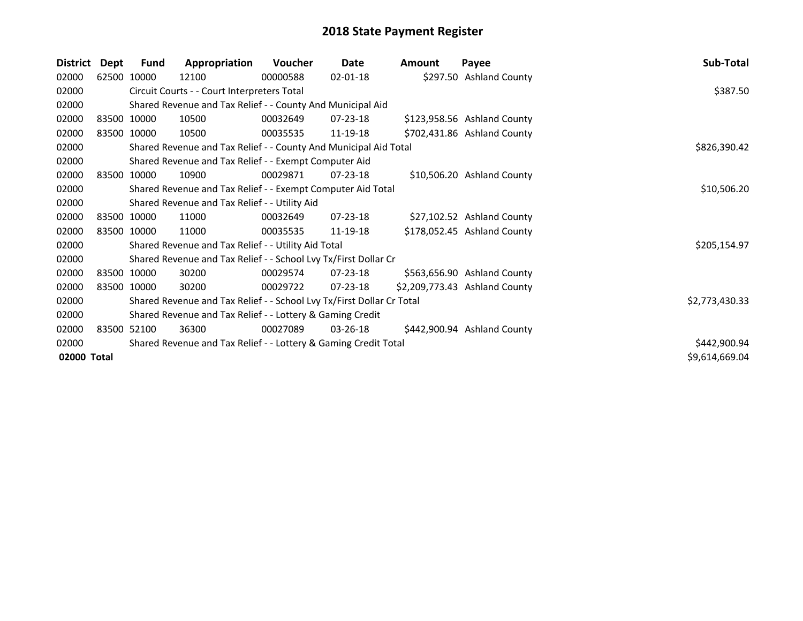| <b>District</b> | Dept | <b>Fund</b> | Appropriation                                                         | Voucher  | Date           | <b>Amount</b> | Payee                         | Sub-Total      |
|-----------------|------|-------------|-----------------------------------------------------------------------|----------|----------------|---------------|-------------------------------|----------------|
| 02000           |      | 62500 10000 | 12100                                                                 | 00000588 | 02-01-18       |               | \$297.50 Ashland County       |                |
| 02000           |      |             | Circuit Courts - - Court Interpreters Total                           |          |                |               |                               | \$387.50       |
| 02000           |      |             | Shared Revenue and Tax Relief - - County And Municipal Aid            |          |                |               |                               |                |
| 02000           |      | 83500 10000 | 10500                                                                 | 00032649 | $07 - 23 - 18$ |               | \$123,958.56 Ashland County   |                |
| 02000           |      | 83500 10000 | 10500                                                                 | 00035535 | 11-19-18       |               | \$702,431.86 Ashland County   |                |
| 02000           |      |             | Shared Revenue and Tax Relief - - County And Municipal Aid Total      |          |                |               |                               | \$826,390.42   |
| 02000           |      |             | Shared Revenue and Tax Relief - - Exempt Computer Aid                 |          |                |               |                               |                |
| 02000           |      | 83500 10000 | 10900                                                                 | 00029871 | $07 - 23 - 18$ |               | \$10,506.20 Ashland County    |                |
| 02000           |      |             | Shared Revenue and Tax Relief - - Exempt Computer Aid Total           |          |                |               |                               | \$10,506.20    |
| 02000           |      |             | Shared Revenue and Tax Relief - - Utility Aid                         |          |                |               |                               |                |
| 02000           |      | 83500 10000 | 11000                                                                 | 00032649 | 07-23-18       |               | \$27,102.52 Ashland County    |                |
| 02000           |      | 83500 10000 | 11000                                                                 | 00035535 | 11-19-18       |               | \$178,052.45 Ashland County   |                |
| 02000           |      |             | Shared Revenue and Tax Relief - - Utility Aid Total                   |          |                |               |                               | \$205,154.97   |
| 02000           |      |             | Shared Revenue and Tax Relief - - School Lvy Tx/First Dollar Cr       |          |                |               |                               |                |
| 02000           |      | 83500 10000 | 30200                                                                 | 00029574 | $07 - 23 - 18$ |               | \$563,656.90 Ashland County   |                |
| 02000           |      | 83500 10000 | 30200                                                                 | 00029722 | $07 - 23 - 18$ |               | \$2,209,773.43 Ashland County |                |
| 02000           |      |             | Shared Revenue and Tax Relief - - School Lvy Tx/First Dollar Cr Total |          |                |               |                               | \$2,773,430.33 |
| 02000           |      |             | Shared Revenue and Tax Relief - - Lottery & Gaming Credit             |          |                |               |                               |                |
| 02000           |      | 83500 52100 | 36300                                                                 | 00027089 | 03-26-18       |               | \$442,900.94 Ashland County   |                |
| 02000           |      |             | Shared Revenue and Tax Relief - - Lottery & Gaming Credit Total       |          |                |               |                               | \$442,900.94   |
| 02000 Total     |      |             |                                                                       |          |                |               |                               | \$9,614,669.04 |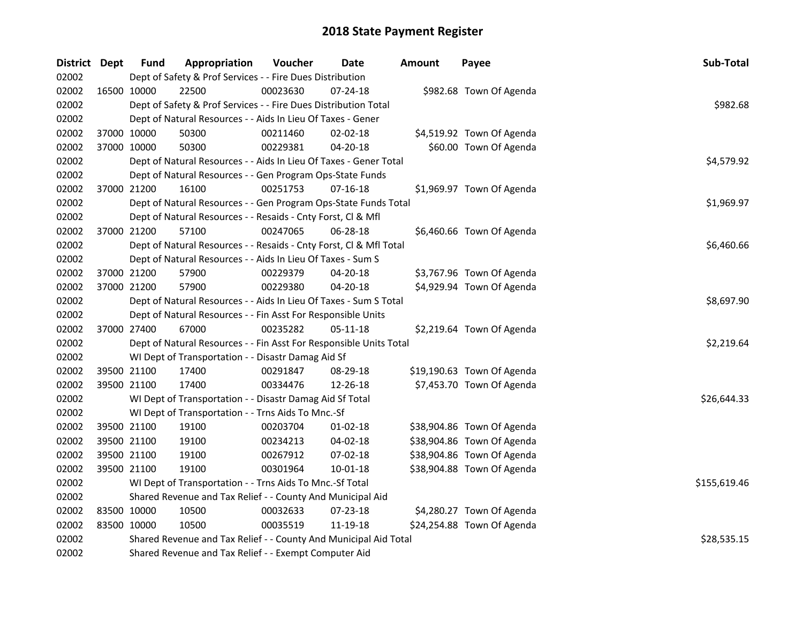| District Dept | <b>Fund</b> | Appropriation                                                      | Voucher      | <b>Date</b>    | <b>Amount</b> | Payee                      | Sub-Total   |  |  |  |
|---------------|-------------|--------------------------------------------------------------------|--------------|----------------|---------------|----------------------------|-------------|--|--|--|
| 02002         |             | Dept of Safety & Prof Services - - Fire Dues Distribution          |              |                |               |                            |             |  |  |  |
| 02002         | 16500 10000 | 22500                                                              | 00023630     | 07-24-18       |               | \$982.68 Town Of Agenda    |             |  |  |  |
| 02002         |             | Dept of Safety & Prof Services - - Fire Dues Distribution Total    |              |                |               |                            | \$982.68    |  |  |  |
| 02002         |             | Dept of Natural Resources - - Aids In Lieu Of Taxes - Gener        |              |                |               |                            |             |  |  |  |
| 02002         | 37000 10000 | 50300                                                              | 00211460     | 02-02-18       |               | \$4,519.92 Town Of Agenda  |             |  |  |  |
| 02002         | 37000 10000 | 50300                                                              | 00229381     | $04 - 20 - 18$ |               | \$60.00 Town Of Agenda     |             |  |  |  |
| 02002         |             | Dept of Natural Resources - - Aids In Lieu Of Taxes - Gener Total  |              |                |               |                            | \$4,579.92  |  |  |  |
| 02002         |             | Dept of Natural Resources - - Gen Program Ops-State Funds          |              |                |               |                            |             |  |  |  |
| 02002         | 37000 21200 | 16100                                                              | 00251753     | $07 - 16 - 18$ |               | \$1,969.97 Town Of Agenda  |             |  |  |  |
| 02002         |             | Dept of Natural Resources - - Gen Program Ops-State Funds Total    |              |                |               |                            |             |  |  |  |
| 02002         |             | Dept of Natural Resources - - Resaids - Cnty Forst, Cl & Mfl       |              |                |               |                            |             |  |  |  |
| 02002         | 37000 21200 | 57100                                                              | 00247065     | 06-28-18       |               | \$6,460.66 Town Of Agenda  |             |  |  |  |
| 02002         |             | Dept of Natural Resources - - Resaids - Cnty Forst, CI & Mfl Total |              |                |               |                            | \$6,460.66  |  |  |  |
| 02002         |             | Dept of Natural Resources - - Aids In Lieu Of Taxes - Sum S        |              |                |               |                            |             |  |  |  |
| 02002         | 37000 21200 | 57900                                                              | 00229379     | 04-20-18       |               | \$3,767.96 Town Of Agenda  |             |  |  |  |
| 02002         | 37000 21200 | 57900                                                              | 00229380     | 04-20-18       |               | \$4,929.94 Town Of Agenda  |             |  |  |  |
| 02002         |             | Dept of Natural Resources - - Aids In Lieu Of Taxes - Sum S Total  | \$8,697.90   |                |               |                            |             |  |  |  |
| 02002         |             | Dept of Natural Resources - - Fin Asst For Responsible Units       |              |                |               |                            |             |  |  |  |
| 02002         | 37000 27400 | 67000                                                              | 00235282     | 05-11-18       |               | \$2,219.64 Town Of Agenda  |             |  |  |  |
| 02002         |             | Dept of Natural Resources - - Fin Asst For Responsible Units Total |              |                |               |                            | \$2,219.64  |  |  |  |
| 02002         |             | WI Dept of Transportation - - Disastr Damag Aid Sf                 |              |                |               |                            |             |  |  |  |
| 02002         | 39500 21100 | 17400                                                              | 00291847     | 08-29-18       |               | \$19,190.63 Town Of Agenda |             |  |  |  |
| 02002         | 39500 21100 | 17400                                                              | 00334476     | 12-26-18       |               | \$7,453.70 Town Of Agenda  |             |  |  |  |
| 02002         |             | WI Dept of Transportation - - Disastr Damag Aid Sf Total           |              |                |               |                            | \$26,644.33 |  |  |  |
| 02002         |             | WI Dept of Transportation - - Trns Aids To Mnc.-Sf                 |              |                |               |                            |             |  |  |  |
| 02002         | 39500 21100 | 19100                                                              | 00203704     | 01-02-18       |               | \$38,904.86 Town Of Agenda |             |  |  |  |
| 02002         | 39500 21100 | 19100                                                              | 00234213     | 04-02-18       |               | \$38,904.86 Town Of Agenda |             |  |  |  |
| 02002         | 39500 21100 | 19100                                                              | 00267912     | 07-02-18       |               | \$38,904.86 Town Of Agenda |             |  |  |  |
| 02002         | 39500 21100 | 19100                                                              | 00301964     | $10 - 01 - 18$ |               | \$38,904.88 Town Of Agenda |             |  |  |  |
| 02002         |             | WI Dept of Transportation - - Trns Aids To Mnc.-Sf Total           | \$155,619.46 |                |               |                            |             |  |  |  |
| 02002         |             | Shared Revenue and Tax Relief - - County And Municipal Aid         |              |                |               |                            |             |  |  |  |
| 02002         | 83500 10000 | 10500                                                              | 00032633     | 07-23-18       |               | \$4,280.27 Town Of Agenda  |             |  |  |  |
| 02002         | 83500 10000 | 10500                                                              | 00035519     | 11-19-18       |               | \$24,254.88 Town Of Agenda |             |  |  |  |
| 02002         |             | Shared Revenue and Tax Relief - - County And Municipal Aid Total   |              |                |               |                            | \$28,535.15 |  |  |  |
| 02002         |             | Shared Revenue and Tax Relief - - Exempt Computer Aid              |              |                |               |                            |             |  |  |  |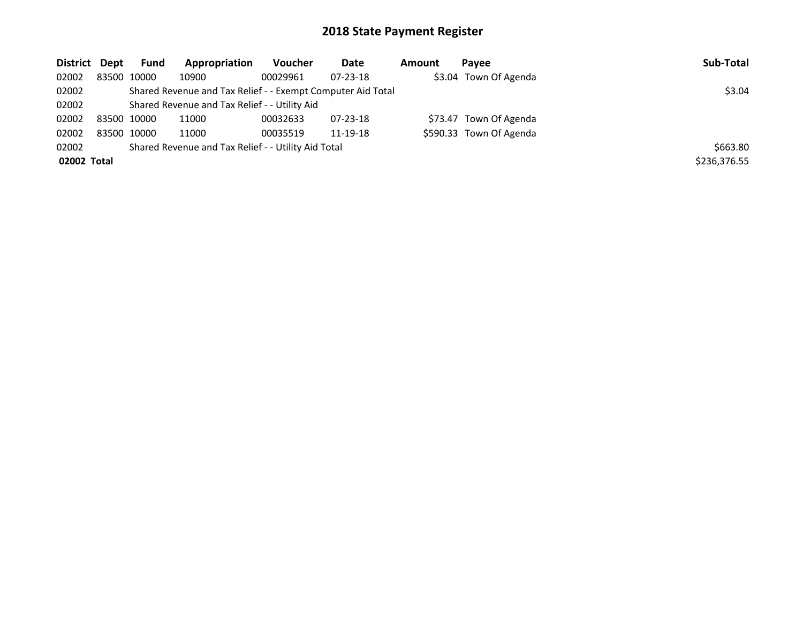| District Dept                                                |             | <b>Fund</b>                                   | Appropriation | Voucher  | Date           | Amount | Pavee                   | Sub-Total    |
|--------------------------------------------------------------|-------------|-----------------------------------------------|---------------|----------|----------------|--------|-------------------------|--------------|
| 02002                                                        |             | 83500 10000                                   | 10900         | 00029961 | 07-23-18       |        | \$3.04 Town Of Agenda   |              |
| 02002                                                        |             | \$3.04                                        |               |          |                |        |                         |              |
| 02002                                                        |             | Shared Revenue and Tax Relief - - Utility Aid |               |          |                |        |                         |              |
| 02002                                                        | 83500 10000 |                                               | 11000         | 00032633 | $07 - 23 - 18$ |        | \$73.47 Town Of Agenda  |              |
| 02002                                                        | 83500 10000 |                                               | 11000         | 00035519 | 11-19-18       |        | \$590.33 Town Of Agenda |              |
| Shared Revenue and Tax Relief - - Utility Aid Total<br>02002 |             |                                               |               |          |                |        |                         | \$663.80     |
| 02002 Total                                                  |             |                                               |               |          |                |        |                         | \$236,376.55 |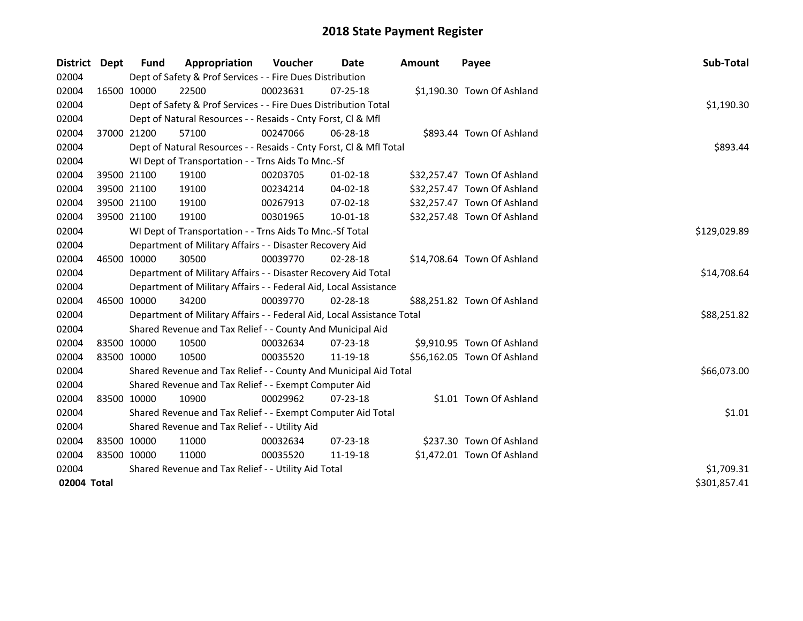| <b>District</b> | Dept | Fund        | Appropriation                                                          | <b>Voucher</b> | Date           | <b>Amount</b> | Payee                       | Sub-Total    |
|-----------------|------|-------------|------------------------------------------------------------------------|----------------|----------------|---------------|-----------------------------|--------------|
| 02004           |      |             | Dept of Safety & Prof Services - - Fire Dues Distribution              |                |                |               |                             |              |
| 02004           |      | 16500 10000 | 22500                                                                  | 00023631       | 07-25-18       |               | \$1,190.30 Town Of Ashland  |              |
| 02004           |      |             | Dept of Safety & Prof Services - - Fire Dues Distribution Total        |                |                |               |                             | \$1,190.30   |
| 02004           |      |             | Dept of Natural Resources - - Resaids - Cnty Forst, Cl & Mfl           |                |                |               |                             |              |
| 02004           |      | 37000 21200 | 57100                                                                  | 00247066       | 06-28-18       |               | \$893.44 Town Of Ashland    |              |
| 02004           |      |             | Dept of Natural Resources - - Resaids - Cnty Forst, Cl & Mfl Total     |                |                |               |                             | \$893.44     |
| 02004           |      |             | WI Dept of Transportation - - Trns Aids To Mnc.-Sf                     |                |                |               |                             |              |
| 02004           |      | 39500 21100 | 19100                                                                  | 00203705       | $01 - 02 - 18$ |               | \$32,257.47 Town Of Ashland |              |
| 02004           |      | 39500 21100 | 19100                                                                  | 00234214       | 04-02-18       |               | \$32,257.47 Town Of Ashland |              |
| 02004           |      | 39500 21100 | 19100                                                                  | 00267913       | 07-02-18       |               | \$32,257.47 Town Of Ashland |              |
| 02004           |      | 39500 21100 | 19100                                                                  | 00301965       | 10-01-18       |               | \$32,257.48 Town Of Ashland |              |
| 02004           |      |             | WI Dept of Transportation - - Trns Aids To Mnc.-Sf Total               |                |                |               |                             | \$129,029.89 |
| 02004           |      |             | Department of Military Affairs - - Disaster Recovery Aid               |                |                |               |                             |              |
| 02004           |      | 46500 10000 | 30500                                                                  | 00039770       | 02-28-18       |               | \$14,708.64 Town Of Ashland |              |
| 02004           |      |             | Department of Military Affairs - - Disaster Recovery Aid Total         |                |                |               |                             | \$14,708.64  |
| 02004           |      |             | Department of Military Affairs - - Federal Aid, Local Assistance       |                |                |               |                             |              |
| 02004           |      | 46500 10000 | 34200                                                                  | 00039770       | 02-28-18       |               | \$88,251.82 Town Of Ashland |              |
| 02004           |      |             | Department of Military Affairs - - Federal Aid, Local Assistance Total |                |                |               |                             | \$88,251.82  |
| 02004           |      |             | Shared Revenue and Tax Relief - - County And Municipal Aid             |                |                |               |                             |              |
| 02004           |      | 83500 10000 | 10500                                                                  | 00032634       | $07 - 23 - 18$ |               | \$9,910.95 Town Of Ashland  |              |
| 02004           |      | 83500 10000 | 10500                                                                  | 00035520       | 11-19-18       |               | \$56,162.05 Town Of Ashland |              |
| 02004           |      |             | Shared Revenue and Tax Relief - - County And Municipal Aid Total       |                |                |               |                             | \$66,073.00  |
| 02004           |      |             | Shared Revenue and Tax Relief - - Exempt Computer Aid                  |                |                |               |                             |              |
| 02004           |      | 83500 10000 | 10900                                                                  | 00029962       | 07-23-18       |               | \$1.01 Town Of Ashland      |              |
| 02004           |      |             | Shared Revenue and Tax Relief - - Exempt Computer Aid Total            |                |                |               |                             | \$1.01       |
| 02004           |      |             | Shared Revenue and Tax Relief - - Utility Aid                          |                |                |               |                             |              |
| 02004           |      | 83500 10000 | 11000                                                                  | 00032634       | 07-23-18       |               | \$237.30 Town Of Ashland    |              |
| 02004           |      | 83500 10000 | 11000                                                                  | 00035520       | 11-19-18       |               | \$1,472.01 Town Of Ashland  |              |
| 02004           |      |             | Shared Revenue and Tax Relief - - Utility Aid Total                    |                |                |               |                             | \$1,709.31   |
| 02004 Total     |      |             |                                                                        |                |                |               |                             | \$301,857.41 |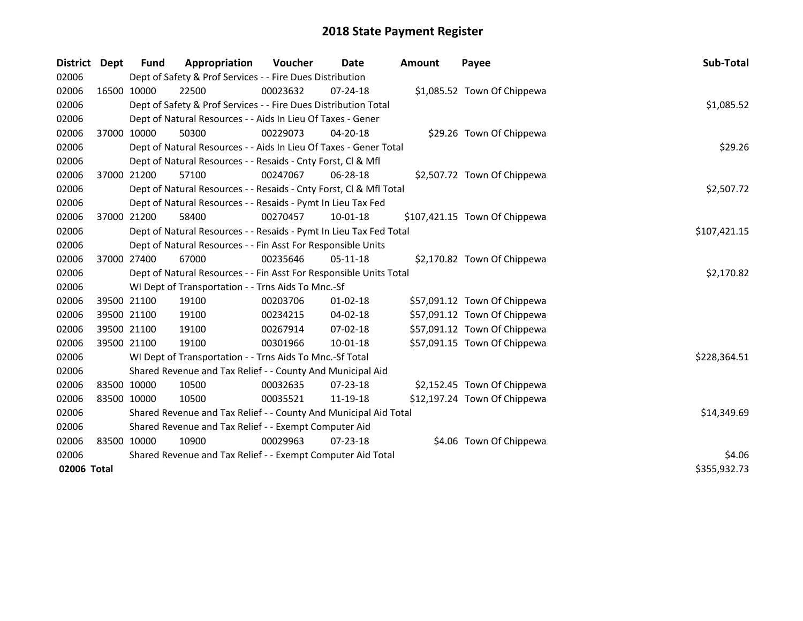| <b>District</b> | <b>Dept</b> | <b>Fund</b> | Appropriation                                                      | Voucher     | <b>Date</b>    | <b>Amount</b> | Payee                         | Sub-Total    |
|-----------------|-------------|-------------|--------------------------------------------------------------------|-------------|----------------|---------------|-------------------------------|--------------|
| 02006           |             |             | Dept of Safety & Prof Services - - Fire Dues Distribution          |             |                |               |                               |              |
| 02006           |             | 16500 10000 | 22500                                                              | 00023632    | $07 - 24 - 18$ |               | \$1,085.52 Town Of Chippewa   |              |
| 02006           |             |             | Dept of Safety & Prof Services - - Fire Dues Distribution Total    |             |                |               |                               | \$1,085.52   |
| 02006           |             |             | Dept of Natural Resources - - Aids In Lieu Of Taxes - Gener        |             |                |               |                               |              |
| 02006           |             | 37000 10000 | 50300                                                              | 00229073    | $04 - 20 - 18$ |               | \$29.26 Town Of Chippewa      |              |
| 02006           |             |             | Dept of Natural Resources - - Aids In Lieu Of Taxes - Gener Total  |             |                |               |                               | \$29.26      |
| 02006           |             |             | Dept of Natural Resources - - Resaids - Cnty Forst, Cl & Mfl       |             |                |               |                               |              |
| 02006           |             | 37000 21200 | 57100                                                              | 00247067    | 06-28-18       |               | \$2,507.72 Town Of Chippewa   |              |
| 02006           |             |             | Dept of Natural Resources - - Resaids - Cnty Forst, Cl & Mfl Total |             |                |               |                               | \$2,507.72   |
| 02006           |             |             | Dept of Natural Resources - - Resaids - Pymt In Lieu Tax Fed       |             |                |               |                               |              |
| 02006           |             | 37000 21200 | 58400                                                              | 00270457    | 10-01-18       |               | \$107,421.15 Town Of Chippewa |              |
| 02006           |             |             | Dept of Natural Resources - - Resaids - Pymt In Lieu Tax Fed Total |             |                |               |                               | \$107,421.15 |
| 02006           |             |             | Dept of Natural Resources - - Fin Asst For Responsible Units       |             |                |               |                               |              |
| 02006           |             | 37000 27400 | 67000                                                              | 00235646    | 05-11-18       |               | \$2,170.82 Town Of Chippewa   |              |
| 02006           |             |             | Dept of Natural Resources - - Fin Asst For Responsible Units Total | \$2,170.82  |                |               |                               |              |
| 02006           |             |             | WI Dept of Transportation - - Trns Aids To Mnc.-Sf                 |             |                |               |                               |              |
| 02006           |             | 39500 21100 | 19100                                                              | 00203706    | 01-02-18       |               | \$57,091.12 Town Of Chippewa  |              |
| 02006           |             | 39500 21100 | 19100                                                              | 00234215    | 04-02-18       |               | \$57,091.12 Town Of Chippewa  |              |
| 02006           |             | 39500 21100 | 19100                                                              | 00267914    | 07-02-18       |               | \$57,091.12 Town Of Chippewa  |              |
| 02006           |             | 39500 21100 | 19100                                                              | 00301966    | 10-01-18       |               | \$57,091.15 Town Of Chippewa  |              |
| 02006           |             |             | WI Dept of Transportation - - Trns Aids To Mnc.-Sf Total           |             |                |               |                               | \$228,364.51 |
| 02006           |             |             | Shared Revenue and Tax Relief - - County And Municipal Aid         |             |                |               |                               |              |
| 02006           |             | 83500 10000 | 10500                                                              | 00032635    | $07 - 23 - 18$ |               | \$2,152.45 Town Of Chippewa   |              |
| 02006           |             | 83500 10000 | 10500                                                              | 00035521    | 11-19-18       |               | \$12,197.24 Town Of Chippewa  |              |
| 02006           |             |             | Shared Revenue and Tax Relief - - County And Municipal Aid Total   | \$14,349.69 |                |               |                               |              |
| 02006           |             |             | Shared Revenue and Tax Relief - - Exempt Computer Aid              |             |                |               |                               |              |
| 02006           |             | 83500 10000 | 10900                                                              | 00029963    | $07 - 23 - 18$ |               | \$4.06 Town Of Chippewa       |              |
| 02006           |             |             | Shared Revenue and Tax Relief - - Exempt Computer Aid Total        |             |                |               |                               | \$4.06       |
| 02006 Total     |             |             |                                                                    |             |                |               |                               | \$355,932.73 |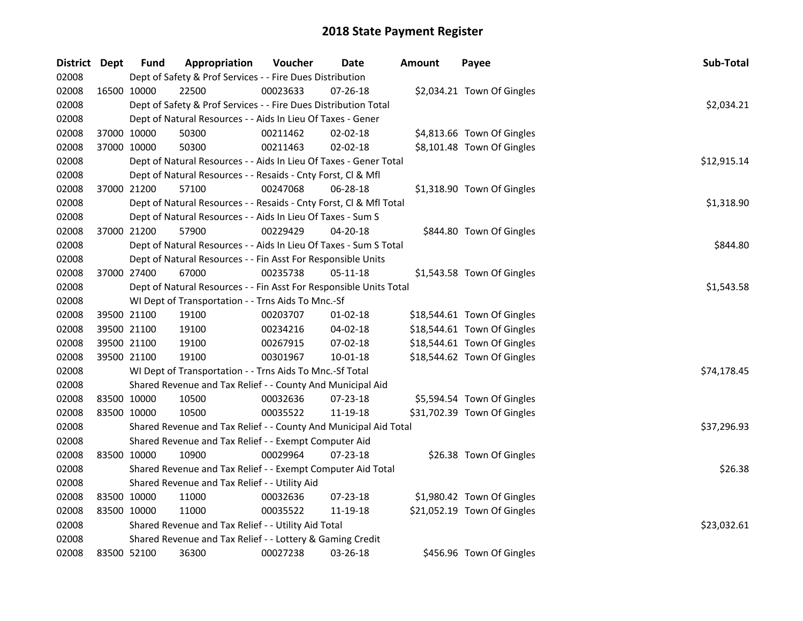| District Dept |             | <b>Fund</b> | Appropriation                                                      | Voucher    | <b>Date</b>    | <b>Amount</b> | Payee                       | Sub-Total   |
|---------------|-------------|-------------|--------------------------------------------------------------------|------------|----------------|---------------|-----------------------------|-------------|
| 02008         |             |             | Dept of Safety & Prof Services - - Fire Dues Distribution          |            |                |               |                             |             |
| 02008         |             | 16500 10000 | 22500                                                              | 00023633   | 07-26-18       |               | \$2,034.21 Town Of Gingles  |             |
| 02008         |             |             | Dept of Safety & Prof Services - - Fire Dues Distribution Total    |            |                |               |                             | \$2,034.21  |
| 02008         |             |             | Dept of Natural Resources - - Aids In Lieu Of Taxes - Gener        |            |                |               |                             |             |
| 02008         | 37000 10000 |             | 50300                                                              | 00211462   | 02-02-18       |               | \$4,813.66 Town Of Gingles  |             |
| 02008         | 37000 10000 |             | 50300                                                              | 00211463   | 02-02-18       |               | \$8,101.48 Town Of Gingles  |             |
| 02008         |             |             | Dept of Natural Resources - - Aids In Lieu Of Taxes - Gener Total  |            |                |               |                             | \$12,915.14 |
| 02008         |             |             | Dept of Natural Resources - - Resaids - Cnty Forst, Cl & Mfl       |            |                |               |                             |             |
| 02008         | 37000 21200 |             | 57100                                                              | 00247068   | 06-28-18       |               | \$1,318.90 Town Of Gingles  |             |
| 02008         |             |             | Dept of Natural Resources - - Resaids - Cnty Forst, Cl & Mfl Total |            |                |               |                             | \$1,318.90  |
| 02008         |             |             | Dept of Natural Resources - - Aids In Lieu Of Taxes - Sum S        |            |                |               |                             |             |
| 02008         | 37000 21200 |             | 57900                                                              | 00229429   | 04-20-18       |               | \$844.80 Town Of Gingles    |             |
| 02008         |             |             | Dept of Natural Resources - - Aids In Lieu Of Taxes - Sum S Total  |            |                |               |                             | \$844.80    |
| 02008         |             |             | Dept of Natural Resources - - Fin Asst For Responsible Units       |            |                |               |                             |             |
| 02008         | 37000 27400 |             | 67000                                                              | 00235738   | 05-11-18       |               | \$1,543.58 Town Of Gingles  |             |
| 02008         |             |             | Dept of Natural Resources - - Fin Asst For Responsible Units Total | \$1,543.58 |                |               |                             |             |
| 02008         |             |             | WI Dept of Transportation - - Trns Aids To Mnc.-Sf                 |            |                |               |                             |             |
| 02008         | 39500 21100 |             | 19100                                                              | 00203707   | $01-02-18$     |               | \$18,544.61 Town Of Gingles |             |
| 02008         | 39500 21100 |             | 19100                                                              | 00234216   | $04 - 02 - 18$ |               | \$18,544.61 Town Of Gingles |             |
| 02008         | 39500 21100 |             | 19100                                                              | 00267915   | 07-02-18       |               | \$18,544.61 Town Of Gingles |             |
| 02008         | 39500 21100 |             | 19100                                                              | 00301967   | $10 - 01 - 18$ |               | \$18,544.62 Town Of Gingles |             |
| 02008         |             |             | WI Dept of Transportation - - Trns Aids To Mnc.-Sf Total           |            |                |               |                             | \$74,178.45 |
| 02008         |             |             | Shared Revenue and Tax Relief - - County And Municipal Aid         |            |                |               |                             |             |
| 02008         |             | 83500 10000 | 10500                                                              | 00032636   | 07-23-18       |               | \$5,594.54 Town Of Gingles  |             |
| 02008         | 83500 10000 |             | 10500                                                              | 00035522   | 11-19-18       |               | \$31,702.39 Town Of Gingles |             |
| 02008         |             |             | Shared Revenue and Tax Relief - - County And Municipal Aid Total   |            |                |               |                             | \$37,296.93 |
| 02008         |             |             | Shared Revenue and Tax Relief - - Exempt Computer Aid              |            |                |               |                             |             |
| 02008         | 83500 10000 |             | 10900                                                              | 00029964   | 07-23-18       |               | \$26.38 Town Of Gingles     |             |
| 02008         |             |             | Shared Revenue and Tax Relief - - Exempt Computer Aid Total        | \$26.38    |                |               |                             |             |
| 02008         |             |             | Shared Revenue and Tax Relief - - Utility Aid                      |            |                |               |                             |             |
| 02008         | 83500 10000 |             | 11000                                                              | 00032636   | 07-23-18       |               | \$1,980.42 Town Of Gingles  |             |
| 02008         | 83500 10000 |             | 11000                                                              | 00035522   | 11-19-18       |               | \$21,052.19 Town Of Gingles |             |
| 02008         |             |             | Shared Revenue and Tax Relief - - Utility Aid Total                |            |                |               |                             | \$23,032.61 |
| 02008         |             |             | Shared Revenue and Tax Relief - - Lottery & Gaming Credit          |            |                |               |                             |             |
| 02008         | 83500 52100 |             | 36300                                                              | 00027238   | 03-26-18       |               | \$456.96 Town Of Gingles    |             |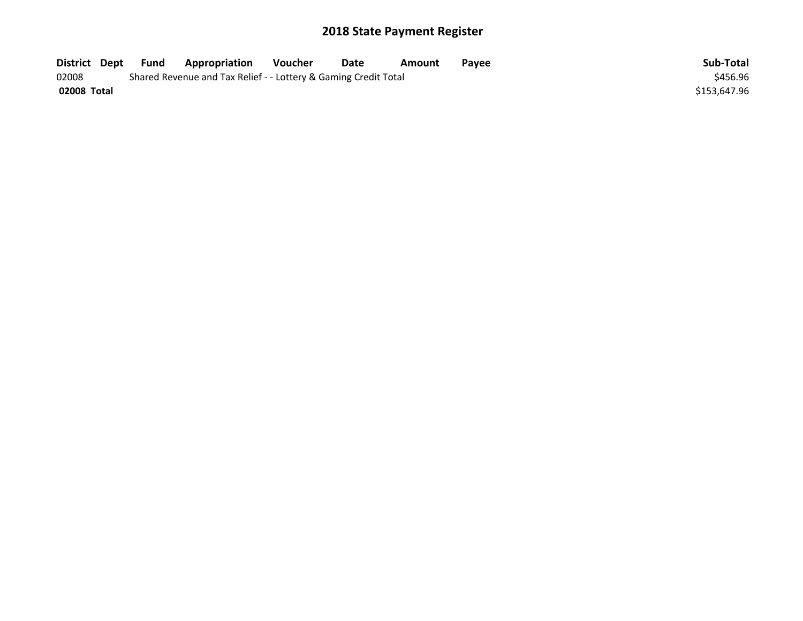| District Dept | Fund                                                            | <b>Appropriation</b> | Voucher | Date | Amount | Payee | Sub-Total    |
|---------------|-----------------------------------------------------------------|----------------------|---------|------|--------|-------|--------------|
| 02008         | Shared Revenue and Tax Relief - - Lottery & Gaming Credit Total | \$456.96             |         |      |        |       |              |
| 02008 Total   |                                                                 |                      |         |      |        |       | \$153.647.96 |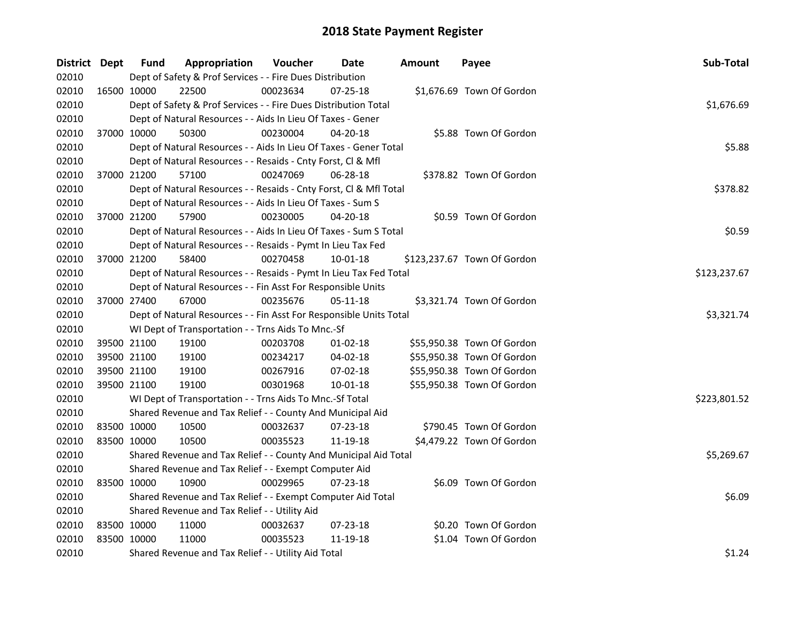| District Dept |             | <b>Fund</b> | Appropriation                                                      | Voucher    | Date           | <b>Amount</b> | Payee                       | Sub-Total    |
|---------------|-------------|-------------|--------------------------------------------------------------------|------------|----------------|---------------|-----------------------------|--------------|
| 02010         |             |             | Dept of Safety & Prof Services - - Fire Dues Distribution          |            |                |               |                             |              |
| 02010         | 16500 10000 |             | 22500                                                              | 00023634   | 07-25-18       |               | \$1,676.69 Town Of Gordon   |              |
| 02010         |             |             | Dept of Safety & Prof Services - - Fire Dues Distribution Total    |            |                |               |                             | \$1,676.69   |
| 02010         |             |             | Dept of Natural Resources - - Aids In Lieu Of Taxes - Gener        |            |                |               |                             |              |
| 02010         |             | 37000 10000 | 50300                                                              | 00230004   | 04-20-18       |               | \$5.88 Town Of Gordon       |              |
| 02010         |             |             | Dept of Natural Resources - - Aids In Lieu Of Taxes - Gener Total  |            |                |               |                             | \$5.88       |
| 02010         |             |             | Dept of Natural Resources - - Resaids - Cnty Forst, Cl & Mfl       |            |                |               |                             |              |
| 02010         |             | 37000 21200 | 57100                                                              | 00247069   | 06-28-18       |               | \$378.82 Town Of Gordon     |              |
| 02010         |             |             | Dept of Natural Resources - - Resaids - Cnty Forst, Cl & Mfl Total |            |                |               |                             | \$378.82     |
| 02010         |             |             | Dept of Natural Resources - - Aids In Lieu Of Taxes - Sum S        |            |                |               |                             |              |
| 02010         |             | 37000 21200 | 57900                                                              | 00230005   | 04-20-18       |               | \$0.59 Town Of Gordon       |              |
| 02010         |             |             | Dept of Natural Resources - - Aids In Lieu Of Taxes - Sum S Total  |            |                |               |                             | \$0.59       |
| 02010         |             |             | Dept of Natural Resources - - Resaids - Pymt In Lieu Tax Fed       |            |                |               |                             |              |
| 02010         |             | 37000 21200 | 58400                                                              | 00270458   | 10-01-18       |               | \$123,237.67 Town Of Gordon |              |
| 02010         |             |             | Dept of Natural Resources - - Resaids - Pymt In Lieu Tax Fed Total |            |                |               |                             | \$123,237.67 |
| 02010         |             |             | Dept of Natural Resources - - Fin Asst For Responsible Units       |            |                |               |                             |              |
| 02010         |             | 37000 27400 | 67000                                                              | 00235676   | 05-11-18       |               | \$3,321.74 Town Of Gordon   |              |
| 02010         |             |             | Dept of Natural Resources - - Fin Asst For Responsible Units Total | \$3,321.74 |                |               |                             |              |
| 02010         |             |             | WI Dept of Transportation - - Trns Aids To Mnc.-Sf                 |            |                |               |                             |              |
| 02010         |             | 39500 21100 | 19100                                                              | 00203708   | $01-02-18$     |               | \$55,950.38 Town Of Gordon  |              |
| 02010         | 39500 21100 |             | 19100                                                              | 00234217   | 04-02-18       |               | \$55,950.38 Town Of Gordon  |              |
| 02010         | 39500 21100 |             | 19100                                                              | 00267916   | 07-02-18       |               | \$55,950.38 Town Of Gordon  |              |
| 02010         | 39500 21100 |             | 19100                                                              | 00301968   | $10 - 01 - 18$ |               | \$55,950.38 Town Of Gordon  |              |
| 02010         |             |             | WI Dept of Transportation - - Trns Aids To Mnc.-Sf Total           |            |                |               |                             | \$223,801.52 |
| 02010         |             |             | Shared Revenue and Tax Relief - - County And Municipal Aid         |            |                |               |                             |              |
| 02010         | 83500 10000 |             | 10500                                                              | 00032637   | 07-23-18       |               | \$790.45 Town Of Gordon     |              |
| 02010         | 83500 10000 |             | 10500                                                              | 00035523   | 11-19-18       |               | \$4,479.22 Town Of Gordon   |              |
| 02010         |             |             | Shared Revenue and Tax Relief - - County And Municipal Aid Total   |            |                |               |                             | \$5,269.67   |
| 02010         |             |             | Shared Revenue and Tax Relief - - Exempt Computer Aid              |            |                |               |                             |              |
| 02010         |             | 83500 10000 | 10900                                                              | 00029965   | 07-23-18       |               | \$6.09 Town Of Gordon       |              |
| 02010         |             |             | Shared Revenue and Tax Relief - - Exempt Computer Aid Total        |            |                |               |                             | \$6.09       |
| 02010         |             |             | Shared Revenue and Tax Relief - - Utility Aid                      |            |                |               |                             |              |
| 02010         | 83500 10000 |             | 11000                                                              | 00032637   | 07-23-18       |               | \$0.20 Town Of Gordon       |              |
| 02010         | 83500 10000 |             | 11000                                                              | 00035523   | 11-19-18       |               | \$1.04 Town Of Gordon       |              |
| 02010         |             |             | Shared Revenue and Tax Relief - - Utility Aid Total                |            |                |               |                             | \$1.24       |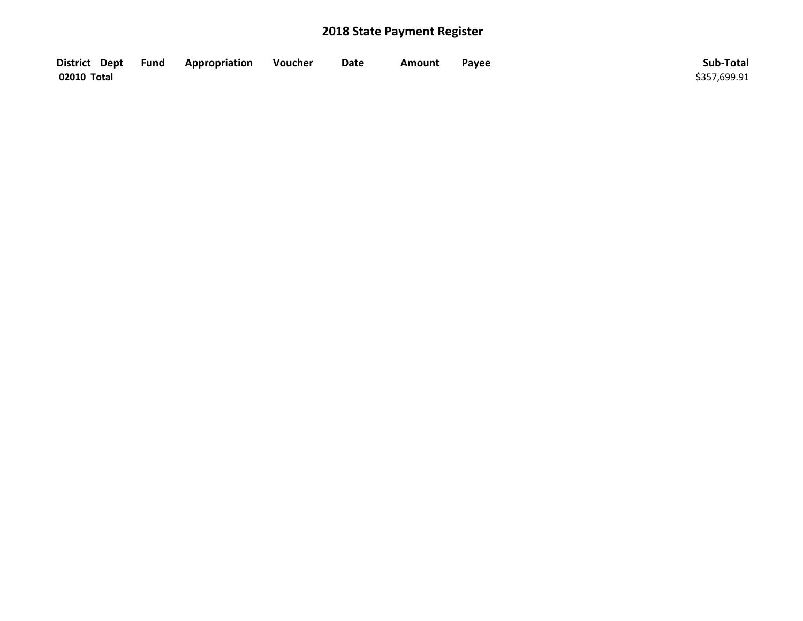| District Dept Fund | Appropriation | Voucher | Date | Amount | Payee | Sub-Total    |
|--------------------|---------------|---------|------|--------|-------|--------------|
| 02010 Total        |               |         |      |        |       | \$357,699.91 |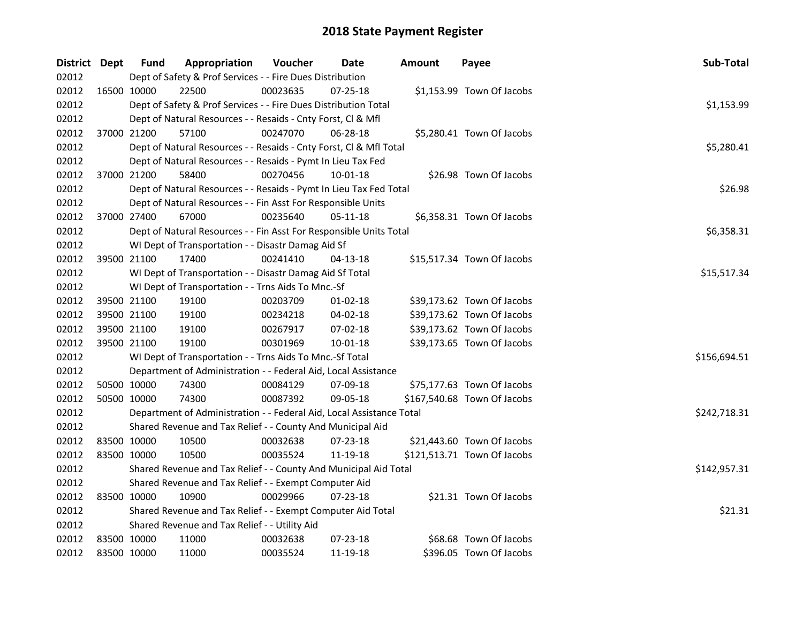| District Dept |             | <b>Fund</b> | Appropriation                                                        | Voucher  | Date           | <b>Amount</b> | Payee                       | Sub-Total    |
|---------------|-------------|-------------|----------------------------------------------------------------------|----------|----------------|---------------|-----------------------------|--------------|
| 02012         |             |             | Dept of Safety & Prof Services - - Fire Dues Distribution            |          |                |               |                             |              |
| 02012         |             | 16500 10000 | 22500                                                                | 00023635 | $07 - 25 - 18$ |               | \$1,153.99 Town Of Jacobs   |              |
| 02012         |             |             | Dept of Safety & Prof Services - - Fire Dues Distribution Total      |          |                |               |                             | \$1,153.99   |
| 02012         |             |             | Dept of Natural Resources - - Resaids - Cnty Forst, Cl & Mfl         |          |                |               |                             |              |
| 02012         |             | 37000 21200 | 57100                                                                | 00247070 | 06-28-18       |               | \$5,280.41 Town Of Jacobs   |              |
| 02012         |             |             | Dept of Natural Resources - - Resaids - Cnty Forst, Cl & Mfl Total   |          |                |               |                             | \$5,280.41   |
| 02012         |             |             | Dept of Natural Resources - - Resaids - Pymt In Lieu Tax Fed         |          |                |               |                             |              |
| 02012         |             | 37000 21200 | 58400                                                                | 00270456 | 10-01-18       |               | \$26.98 Town Of Jacobs      |              |
| 02012         |             |             | Dept of Natural Resources - - Resaids - Pymt In Lieu Tax Fed Total   |          |                |               |                             | \$26.98      |
| 02012         |             |             | Dept of Natural Resources - - Fin Asst For Responsible Units         |          |                |               |                             |              |
| 02012         |             | 37000 27400 | 67000                                                                | 00235640 | $05 - 11 - 18$ |               | \$6,358.31 Town Of Jacobs   |              |
| 02012         |             |             | Dept of Natural Resources - - Fin Asst For Responsible Units Total   |          |                |               |                             | \$6,358.31   |
| 02012         |             |             | WI Dept of Transportation - - Disastr Damag Aid Sf                   |          |                |               |                             |              |
| 02012         |             | 39500 21100 | 17400                                                                | 00241410 | 04-13-18       |               | \$15,517.34 Town Of Jacobs  |              |
| 02012         |             |             | WI Dept of Transportation - - Disastr Damag Aid Sf Total             |          |                |               |                             | \$15,517.34  |
| 02012         |             |             | WI Dept of Transportation - - Trns Aids To Mnc.-Sf                   |          |                |               |                             |              |
| 02012         |             | 39500 21100 | 19100                                                                | 00203709 | $01 - 02 - 18$ |               | \$39,173.62 Town Of Jacobs  |              |
| 02012         | 39500 21100 |             | 19100                                                                | 00234218 | 04-02-18       |               | \$39,173.62 Town Of Jacobs  |              |
| 02012         | 39500 21100 |             | 19100                                                                | 00267917 | 07-02-18       |               | \$39,173.62 Town Of Jacobs  |              |
| 02012         | 39500 21100 |             | 19100                                                                | 00301969 | 10-01-18       |               | \$39,173.65 Town Of Jacobs  |              |
| 02012         |             |             | WI Dept of Transportation - - Trns Aids To Mnc.-Sf Total             |          |                |               |                             | \$156,694.51 |
| 02012         |             |             | Department of Administration - - Federal Aid, Local Assistance       |          |                |               |                             |              |
| 02012         | 50500 10000 |             | 74300                                                                | 00084129 | 07-09-18       |               | \$75,177.63 Town Of Jacobs  |              |
| 02012         | 50500 10000 |             | 74300                                                                | 00087392 | 09-05-18       |               | \$167,540.68 Town Of Jacobs |              |
| 02012         |             |             | Department of Administration - - Federal Aid, Local Assistance Total |          |                |               |                             | \$242,718.31 |
| 02012         |             |             | Shared Revenue and Tax Relief - - County And Municipal Aid           |          |                |               |                             |              |
| 02012         | 83500 10000 |             | 10500                                                                | 00032638 | 07-23-18       |               | \$21,443.60 Town Of Jacobs  |              |
| 02012         | 83500 10000 |             | 10500                                                                | 00035524 | 11-19-18       |               | \$121,513.71 Town Of Jacobs |              |
| 02012         |             |             | Shared Revenue and Tax Relief - - County And Municipal Aid Total     |          |                |               |                             | \$142,957.31 |
| 02012         |             |             | Shared Revenue and Tax Relief - - Exempt Computer Aid                |          |                |               |                             |              |
| 02012         |             | 83500 10000 | 10900                                                                | 00029966 | $07 - 23 - 18$ |               | \$21.31 Town Of Jacobs      |              |
| 02012         |             |             | Shared Revenue and Tax Relief - - Exempt Computer Aid Total          |          |                |               |                             | \$21.31      |
| 02012         |             |             | Shared Revenue and Tax Relief - - Utility Aid                        |          |                |               |                             |              |
| 02012         | 83500 10000 |             | 11000                                                                | 00032638 | $07 - 23 - 18$ |               | \$68.68 Town Of Jacobs      |              |
| 02012         | 83500 10000 |             | 11000                                                                | 00035524 | 11-19-18       |               | \$396.05 Town Of Jacobs     |              |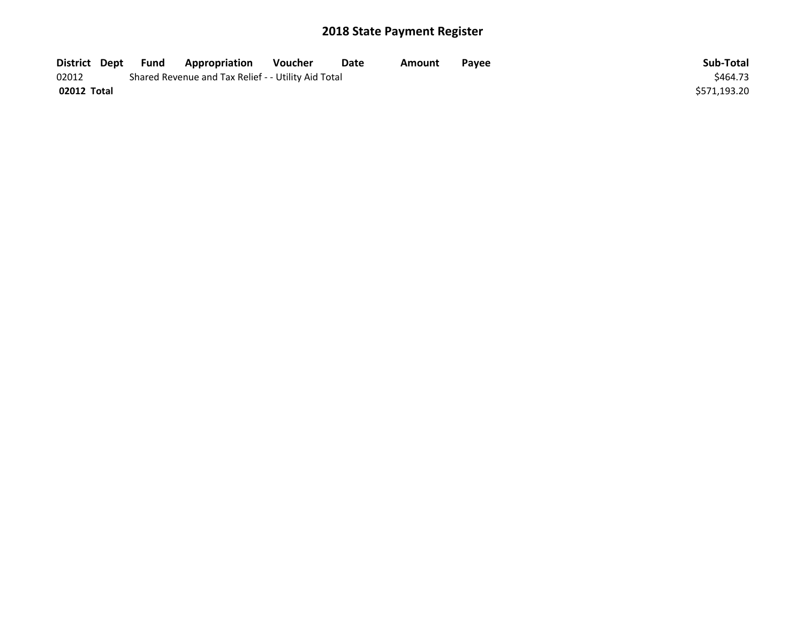| District Dept | Fund | Appropriation                                       | Voucher  | Date | Amount | <b>Pavee</b> | Sub-Total    |
|---------------|------|-----------------------------------------------------|----------|------|--------|--------------|--------------|
| 02012         |      | Shared Revenue and Tax Relief - - Utility Aid Total | \$464.73 |      |        |              |              |
| 02012 Total   |      |                                                     |          |      |        |              | \$571,193.20 |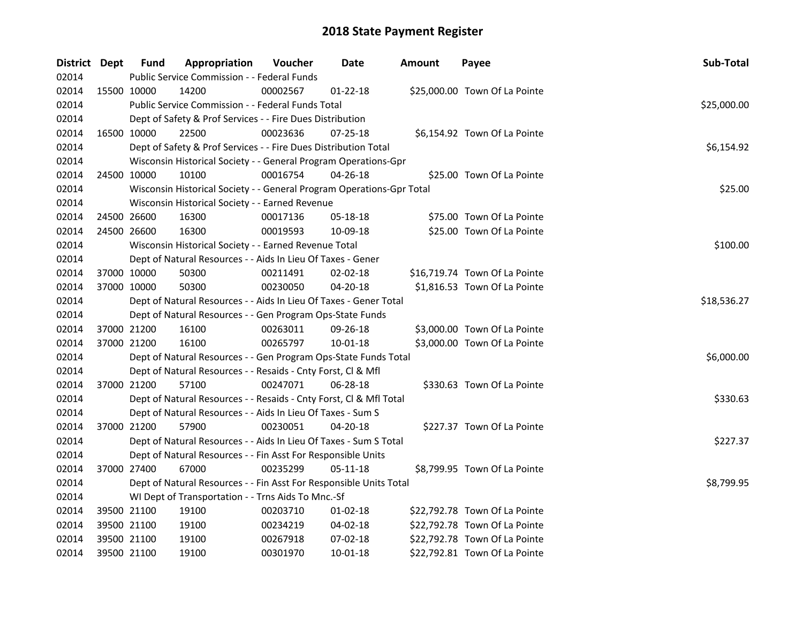| District Dept |             | <b>Fund</b> | Appropriation                                                         | <b>Voucher</b> | Date           | <b>Amount</b> | Payee                         | Sub-Total   |
|---------------|-------------|-------------|-----------------------------------------------------------------------|----------------|----------------|---------------|-------------------------------|-------------|
| 02014         |             |             | Public Service Commission - - Federal Funds                           |                |                |               |                               |             |
| 02014         | 15500 10000 |             | 14200                                                                 | 00002567       | $01 - 22 - 18$ |               | \$25,000.00 Town Of La Pointe |             |
| 02014         |             |             | Public Service Commission - - Federal Funds Total                     |                |                |               |                               | \$25,000.00 |
| 02014         |             |             | Dept of Safety & Prof Services - - Fire Dues Distribution             |                |                |               |                               |             |
| 02014         | 16500 10000 |             | 22500                                                                 | 00023636       | $07 - 25 - 18$ |               | \$6,154.92 Town Of La Pointe  |             |
| 02014         |             |             | Dept of Safety & Prof Services - - Fire Dues Distribution Total       |                |                |               |                               | \$6,154.92  |
| 02014         |             |             | Wisconsin Historical Society - - General Program Operations-Gpr       |                |                |               |                               |             |
| 02014         |             | 24500 10000 | 10100                                                                 | 00016754       | 04-26-18       |               | \$25.00 Town Of La Pointe     |             |
| 02014         |             |             | Wisconsin Historical Society - - General Program Operations-Gpr Total |                |                |               |                               | \$25.00     |
| 02014         |             |             | Wisconsin Historical Society - - Earned Revenue                       |                |                |               |                               |             |
| 02014         | 24500 26600 |             | 16300                                                                 | 00017136       | 05-18-18       |               | \$75.00 Town Of La Pointe     |             |
| 02014         | 24500 26600 |             | 16300                                                                 | 00019593       | 10-09-18       |               | \$25.00 Town Of La Pointe     |             |
| 02014         |             |             | Wisconsin Historical Society - - Earned Revenue Total                 |                |                |               |                               | \$100.00    |
| 02014         |             |             | Dept of Natural Resources - - Aids In Lieu Of Taxes - Gener           |                |                |               |                               |             |
| 02014         | 37000 10000 |             | 50300                                                                 | 00211491       | 02-02-18       |               | \$16,719.74 Town Of La Pointe |             |
| 02014         | 37000 10000 |             | 50300                                                                 | 00230050       | 04-20-18       |               | \$1,816.53 Town Of La Pointe  |             |
| 02014         |             |             | Dept of Natural Resources - - Aids In Lieu Of Taxes - Gener Total     |                |                |               |                               | \$18,536.27 |
| 02014         |             |             | Dept of Natural Resources - - Gen Program Ops-State Funds             |                |                |               |                               |             |
| 02014         |             | 37000 21200 | 16100                                                                 | 00263011       | 09-26-18       |               | \$3,000.00 Town Of La Pointe  |             |
| 02014         |             | 37000 21200 | 16100                                                                 | 00265797       | 10-01-18       |               | \$3,000.00 Town Of La Pointe  |             |
| 02014         |             |             | Dept of Natural Resources - - Gen Program Ops-State Funds Total       |                |                |               |                               | \$6,000.00  |
| 02014         |             |             | Dept of Natural Resources - - Resaids - Cnty Forst, Cl & Mfl          |                |                |               |                               |             |
| 02014         | 37000 21200 |             | 57100                                                                 | 00247071       | 06-28-18       |               | \$330.63 Town Of La Pointe    |             |
| 02014         |             |             | Dept of Natural Resources - - Resaids - Cnty Forst, Cl & Mfl Total    |                |                |               |                               | \$330.63    |
| 02014         |             |             | Dept of Natural Resources - - Aids In Lieu Of Taxes - Sum S           |                |                |               |                               |             |
| 02014         | 37000 21200 |             | 57900                                                                 | 00230051       | 04-20-18       |               | \$227.37 Town Of La Pointe    |             |
| 02014         |             |             | Dept of Natural Resources - - Aids In Lieu Of Taxes - Sum S Total     |                |                |               |                               | \$227.37    |
| 02014         |             |             | Dept of Natural Resources - - Fin Asst For Responsible Units          |                |                |               |                               |             |
| 02014         | 37000 27400 |             | 67000                                                                 | 00235299       | 05-11-18       |               | \$8,799.95 Town Of La Pointe  |             |
| 02014         |             |             | Dept of Natural Resources - - Fin Asst For Responsible Units Total    |                |                |               |                               | \$8,799.95  |
| 02014         |             |             | WI Dept of Transportation - - Trns Aids To Mnc.-Sf                    |                |                |               |                               |             |
| 02014         |             | 39500 21100 | 19100                                                                 | 00203710       | 01-02-18       |               | \$22,792.78 Town Of La Pointe |             |
| 02014         | 39500 21100 |             | 19100                                                                 | 00234219       | 04-02-18       |               | \$22,792.78 Town Of La Pointe |             |
| 02014         | 39500 21100 |             | 19100                                                                 | 00267918       | 07-02-18       |               | \$22,792.78 Town Of La Pointe |             |
| 02014         | 39500 21100 |             | 19100                                                                 | 00301970       | $10 - 01 - 18$ |               | \$22,792.81 Town Of La Pointe |             |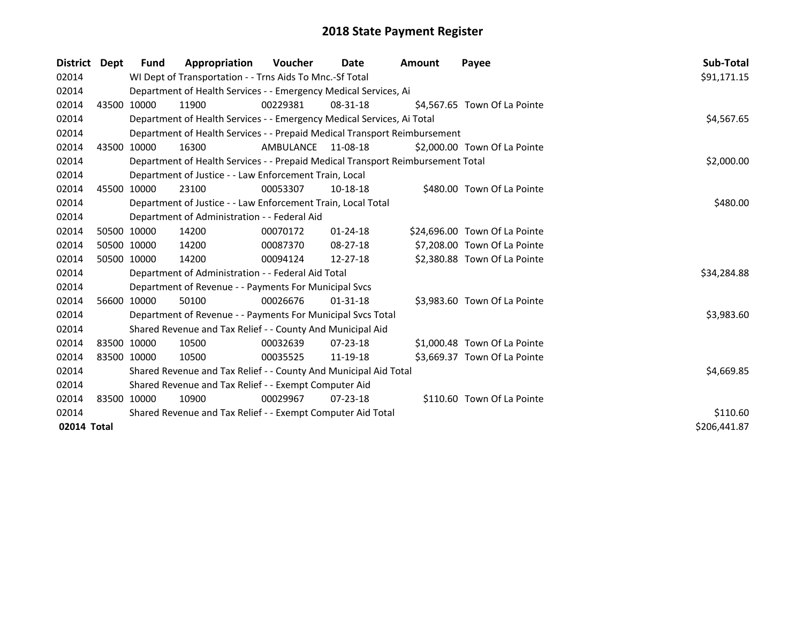| District Dept | <b>Fund</b> | Appropriation                                                                   | Voucher          | Date           | <b>Amount</b> | Payee                         | Sub-Total    |
|---------------|-------------|---------------------------------------------------------------------------------|------------------|----------------|---------------|-------------------------------|--------------|
| 02014         |             | WI Dept of Transportation - - Trns Aids To Mnc.-Sf Total                        |                  |                |               |                               | \$91,171.15  |
| 02014         |             | Department of Health Services - - Emergency Medical Services, Ai                |                  |                |               |                               |              |
| 02014         | 43500 10000 | 11900                                                                           | 00229381         | 08-31-18       |               | \$4,567.65 Town Of La Pointe  |              |
| 02014         |             | Department of Health Services - - Emergency Medical Services, Ai Total          |                  |                |               |                               | \$4,567.65   |
| 02014         |             | Department of Health Services - - Prepaid Medical Transport Reimbursement       |                  |                |               |                               |              |
| 02014         | 43500 10000 | 16300                                                                           | <b>AMBULANCE</b> | 11-08-18       |               | \$2,000.00 Town Of La Pointe  |              |
| 02014         |             | Department of Health Services - - Prepaid Medical Transport Reimbursement Total | \$2,000.00       |                |               |                               |              |
| 02014         |             | Department of Justice - - Law Enforcement Train, Local                          |                  |                |               |                               |              |
| 02014         | 45500 10000 | 23100                                                                           | 00053307         | 10-18-18       |               | \$480.00 Town Of La Pointe    |              |
| 02014         |             | Department of Justice - - Law Enforcement Train, Local Total                    |                  |                |               |                               | \$480.00     |
| 02014         |             | Department of Administration - - Federal Aid                                    |                  |                |               |                               |              |
| 02014         | 50500 10000 | 14200                                                                           | 00070172         | 01-24-18       |               | \$24,696.00 Town Of La Pointe |              |
| 02014         | 50500 10000 | 14200                                                                           | 00087370         | $08 - 27 - 18$ |               | \$7,208.00 Town Of La Pointe  |              |
| 02014         | 50500 10000 | 14200                                                                           | 00094124         | 12-27-18       |               | \$2,380.88 Town Of La Pointe  |              |
| 02014         |             | Department of Administration - - Federal Aid Total                              |                  |                |               |                               | \$34,284.88  |
| 02014         |             | Department of Revenue - - Payments For Municipal Svcs                           |                  |                |               |                               |              |
| 02014         | 56600 10000 | 50100                                                                           | 00026676         | $01 - 31 - 18$ |               | \$3,983.60 Town Of La Pointe  |              |
| 02014         |             | Department of Revenue - - Payments For Municipal Svcs Total                     |                  |                |               |                               | \$3,983.60   |
| 02014         |             | Shared Revenue and Tax Relief - - County And Municipal Aid                      |                  |                |               |                               |              |
| 02014         | 83500 10000 | 10500                                                                           | 00032639         | 07-23-18       |               | \$1,000.48 Town Of La Pointe  |              |
| 02014         | 83500 10000 | 10500                                                                           | 00035525         | 11-19-18       |               | \$3,669.37 Town Of La Pointe  |              |
| 02014         |             | Shared Revenue and Tax Relief - - County And Municipal Aid Total                | \$4,669.85       |                |               |                               |              |
| 02014         |             | Shared Revenue and Tax Relief - - Exempt Computer Aid                           |                  |                |               |                               |              |
| 02014         | 83500 10000 | 10900                                                                           | 00029967         | $07 - 23 - 18$ |               | \$110.60 Town Of La Pointe    |              |
| 02014         |             | Shared Revenue and Tax Relief - - Exempt Computer Aid Total                     |                  |                |               |                               | \$110.60     |
| 02014 Total   |             |                                                                                 |                  |                |               |                               | \$206,441.87 |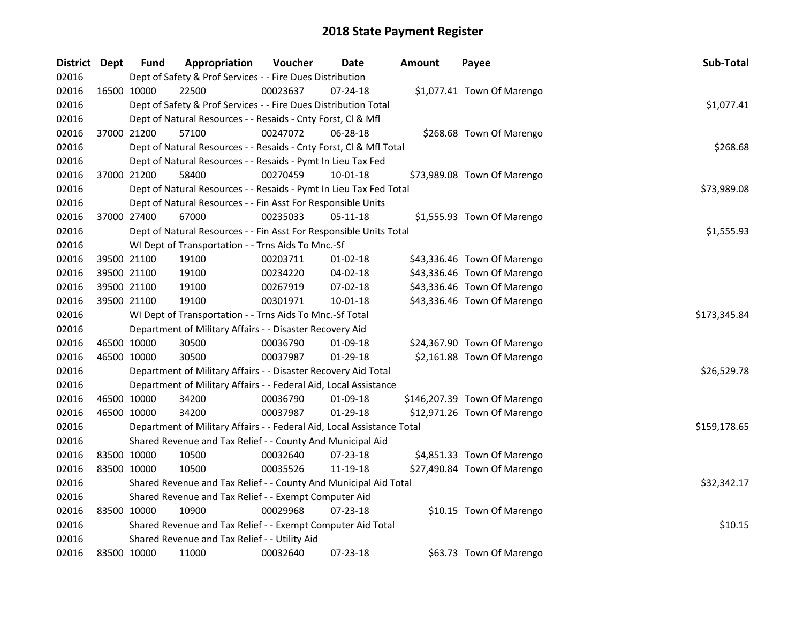| District Dept | <b>Fund</b> | Appropriation                                                          | Voucher  | Date           | <b>Amount</b> | Payee                        | Sub-Total    |
|---------------|-------------|------------------------------------------------------------------------|----------|----------------|---------------|------------------------------|--------------|
| 02016         |             | Dept of Safety & Prof Services - - Fire Dues Distribution              |          |                |               |                              |              |
| 02016         | 16500 10000 | 22500                                                                  | 00023637 | 07-24-18       |               | \$1,077.41 Town Of Marengo   |              |
| 02016         |             | Dept of Safety & Prof Services - - Fire Dues Distribution Total        |          |                |               |                              | \$1,077.41   |
| 02016         |             | Dept of Natural Resources - - Resaids - Cnty Forst, Cl & Mfl           |          |                |               |                              |              |
| 02016         | 37000 21200 | 57100                                                                  | 00247072 | 06-28-18       |               | \$268.68 Town Of Marengo     |              |
| 02016         |             | Dept of Natural Resources - - Resaids - Cnty Forst, Cl & Mfl Total     |          |                |               |                              | \$268.68     |
| 02016         |             | Dept of Natural Resources - - Resaids - Pymt In Lieu Tax Fed           |          |                |               |                              |              |
| 02016         | 37000 21200 | 58400                                                                  | 00270459 | 10-01-18       |               | \$73,989.08 Town Of Marengo  |              |
| 02016         |             | Dept of Natural Resources - - Resaids - Pymt In Lieu Tax Fed Total     |          |                |               |                              | \$73,989.08  |
| 02016         |             | Dept of Natural Resources - - Fin Asst For Responsible Units           |          |                |               |                              |              |
| 02016         | 37000 27400 | 67000                                                                  | 00235033 | $05 - 11 - 18$ |               | \$1,555.93 Town Of Marengo   |              |
| 02016         |             | Dept of Natural Resources - - Fin Asst For Responsible Units Total     |          |                |               |                              | \$1,555.93   |
| 02016         |             | WI Dept of Transportation - - Trns Aids To Mnc.-Sf                     |          |                |               |                              |              |
| 02016         | 39500 21100 | 19100                                                                  | 00203711 | $01-02-18$     |               | \$43,336.46 Town Of Marengo  |              |
| 02016         | 39500 21100 | 19100                                                                  | 00234220 | 04-02-18       |               | \$43,336.46 Town Of Marengo  |              |
| 02016         | 39500 21100 | 19100                                                                  | 00267919 | 07-02-18       |               | \$43,336.46 Town Of Marengo  |              |
| 02016         | 39500 21100 | 19100                                                                  | 00301971 | $10 - 01 - 18$ |               | \$43,336.46 Town Of Marengo  |              |
| 02016         |             | WI Dept of Transportation - - Trns Aids To Mnc.-Sf Total               |          |                |               |                              | \$173,345.84 |
| 02016         |             | Department of Military Affairs - - Disaster Recovery Aid               |          |                |               |                              |              |
| 02016         | 46500 10000 | 30500                                                                  | 00036790 | 01-09-18       |               | \$24,367.90 Town Of Marengo  |              |
| 02016         | 46500 10000 | 30500                                                                  | 00037987 | 01-29-18       |               | \$2,161.88 Town Of Marengo   |              |
| 02016         |             | Department of Military Affairs - - Disaster Recovery Aid Total         |          |                |               |                              | \$26,529.78  |
| 02016         |             | Department of Military Affairs - - Federal Aid, Local Assistance       |          |                |               |                              |              |
| 02016         | 46500 10000 | 34200                                                                  | 00036790 | 01-09-18       |               | \$146,207.39 Town Of Marengo |              |
| 02016         | 46500 10000 | 34200                                                                  | 00037987 | 01-29-18       |               | \$12,971.26 Town Of Marengo  |              |
| 02016         |             | Department of Military Affairs - - Federal Aid, Local Assistance Total |          |                |               |                              | \$159,178.65 |
| 02016         |             | Shared Revenue and Tax Relief - - County And Municipal Aid             |          |                |               |                              |              |
| 02016         | 83500 10000 | 10500                                                                  | 00032640 | 07-23-18       |               | \$4,851.33 Town Of Marengo   |              |
| 02016         | 83500 10000 | 10500                                                                  | 00035526 | 11-19-18       |               | \$27,490.84 Town Of Marengo  |              |
| 02016         |             | Shared Revenue and Tax Relief - - County And Municipal Aid Total       |          |                |               |                              | \$32,342.17  |
| 02016         |             | Shared Revenue and Tax Relief - - Exempt Computer Aid                  |          |                |               |                              |              |
| 02016         | 83500 10000 | 10900                                                                  | 00029968 | $07 - 23 - 18$ |               | \$10.15 Town Of Marengo      |              |
| 02016         |             | Shared Revenue and Tax Relief - - Exempt Computer Aid Total            | \$10.15  |                |               |                              |              |
| 02016         |             | Shared Revenue and Tax Relief - - Utility Aid                          |          |                |               |                              |              |
| 02016         | 83500 10000 | 11000                                                                  | 00032640 | 07-23-18       |               | \$63.73 Town Of Marengo      |              |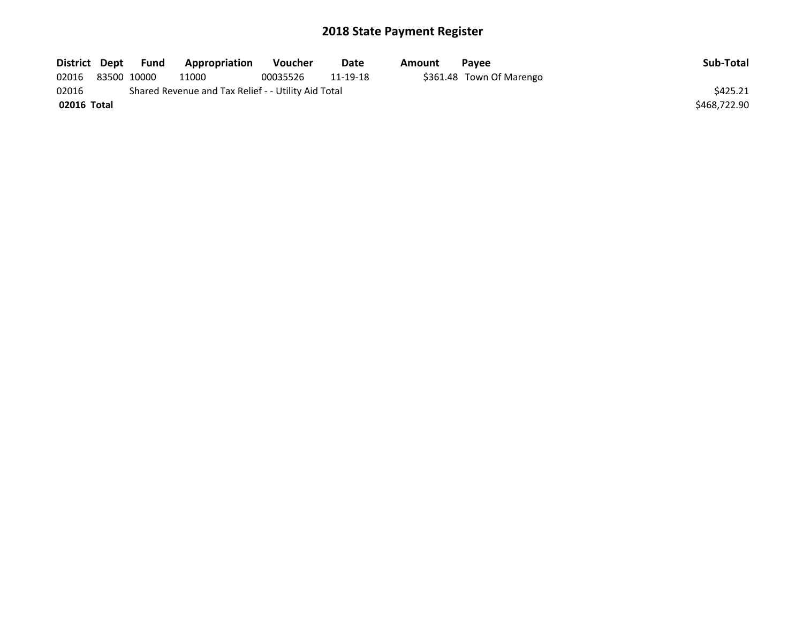| District Dept |                                                     | Fund        | Appropriation | <b>Voucher</b> | Date     | Amount | <b>Pavee</b>             | Sub-Total    |  |
|---------------|-----------------------------------------------------|-------------|---------------|----------------|----------|--------|--------------------------|--------------|--|
| 02016         |                                                     | 83500 10000 | 11000         | 00035526       | 11-19-18 |        | \$361.48 Town Of Marengo |              |  |
| 02016         | Shared Revenue and Tax Relief - - Utility Aid Total |             |               |                |          |        |                          |              |  |
| 02016 Total   |                                                     |             |               |                |          |        |                          | \$468,722.90 |  |
|               |                                                     |             |               |                |          |        |                          |              |  |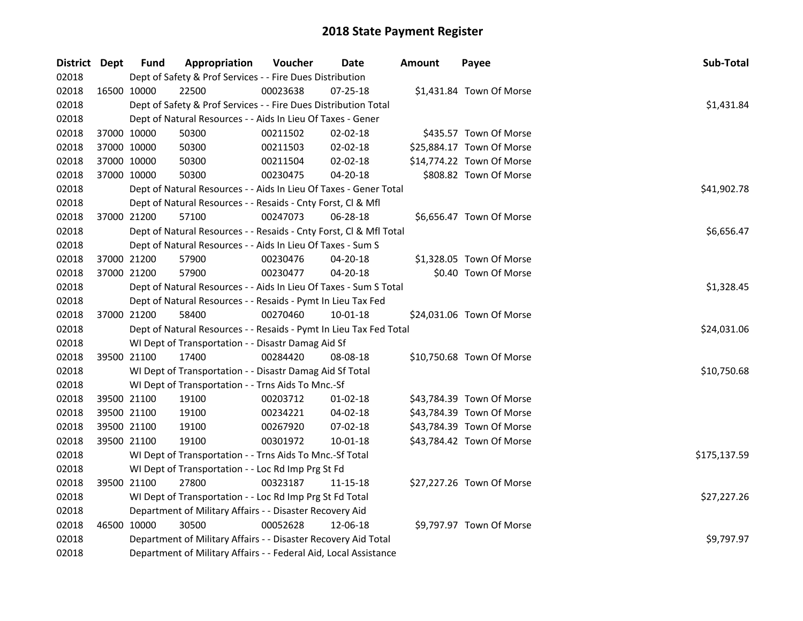| District Dept |             | <b>Fund</b>                                                    | Appropriation                                                      | Voucher    | Date           | <b>Amount</b> | Payee                     | Sub-Total    |
|---------------|-------------|----------------------------------------------------------------|--------------------------------------------------------------------|------------|----------------|---------------|---------------------------|--------------|
| 02018         |             |                                                                | Dept of Safety & Prof Services - - Fire Dues Distribution          |            |                |               |                           |              |
| 02018         |             | 16500 10000                                                    | 22500                                                              | 00023638   | 07-25-18       |               | \$1,431.84 Town Of Morse  |              |
| 02018         |             |                                                                | Dept of Safety & Prof Services - - Fire Dues Distribution Total    |            |                |               |                           | \$1,431.84   |
| 02018         |             |                                                                | Dept of Natural Resources - - Aids In Lieu Of Taxes - Gener        |            |                |               |                           |              |
| 02018         | 37000 10000 |                                                                | 50300                                                              | 00211502   | 02-02-18       |               | \$435.57 Town Of Morse    |              |
| 02018         | 37000 10000 |                                                                | 50300                                                              | 00211503   | 02-02-18       |               | \$25,884.17 Town Of Morse |              |
| 02018         | 37000 10000 |                                                                | 50300                                                              | 00211504   | 02-02-18       |               | \$14,774.22 Town Of Morse |              |
| 02018         | 37000 10000 |                                                                | 50300                                                              | 00230475   | 04-20-18       |               | \$808.82 Town Of Morse    |              |
| 02018         |             |                                                                | Dept of Natural Resources - - Aids In Lieu Of Taxes - Gener Total  |            |                |               |                           | \$41,902.78  |
| 02018         |             |                                                                | Dept of Natural Resources - - Resaids - Cnty Forst, Cl & Mfl       |            |                |               |                           |              |
| 02018         |             | 37000 21200                                                    | 57100                                                              | 00247073   | 06-28-18       |               | \$6,656.47 Town Of Morse  |              |
| 02018         |             |                                                                | Dept of Natural Resources - - Resaids - Cnty Forst, Cl & Mfl Total |            |                |               |                           | \$6,656.47   |
| 02018         |             |                                                                | Dept of Natural Resources - - Aids In Lieu Of Taxes - Sum S        |            |                |               |                           |              |
| 02018         | 37000 21200 |                                                                | 57900                                                              | 00230476   | 04-20-18       |               | \$1,328.05 Town Of Morse  |              |
| 02018         |             | 37000 21200                                                    | 57900                                                              | 00230477   | 04-20-18       |               | \$0.40 Town Of Morse      |              |
| 02018         |             |                                                                | Dept of Natural Resources - - Aids In Lieu Of Taxes - Sum S Total  | \$1,328.45 |                |               |                           |              |
| 02018         |             |                                                                | Dept of Natural Resources - - Resaids - Pymt In Lieu Tax Fed       |            |                |               |                           |              |
| 02018         |             | 37000 21200                                                    | 58400                                                              | 00270460   | $10 - 01 - 18$ |               | \$24,031.06 Town Of Morse |              |
| 02018         |             |                                                                | Dept of Natural Resources - - Resaids - Pymt In Lieu Tax Fed Total |            |                |               |                           | \$24,031.06  |
| 02018         |             |                                                                | WI Dept of Transportation - - Disastr Damag Aid Sf                 |            |                |               |                           |              |
| 02018         | 39500 21100 |                                                                | 17400                                                              | 00284420   | 08-08-18       |               | \$10,750.68 Town Of Morse |              |
| 02018         |             |                                                                | WI Dept of Transportation - - Disastr Damag Aid Sf Total           |            |                |               |                           | \$10,750.68  |
| 02018         |             |                                                                | WI Dept of Transportation - - Trns Aids To Mnc.-Sf                 |            |                |               |                           |              |
| 02018         | 39500 21100 |                                                                | 19100                                                              | 00203712   | 01-02-18       |               | \$43,784.39 Town Of Morse |              |
| 02018         | 39500 21100 |                                                                | 19100                                                              | 00234221   | 04-02-18       |               | \$43,784.39 Town Of Morse |              |
| 02018         | 39500 21100 |                                                                | 19100                                                              | 00267920   | 07-02-18       |               | \$43,784.39 Town Of Morse |              |
| 02018         |             | 39500 21100                                                    | 19100                                                              | 00301972   | 10-01-18       |               | \$43,784.42 Town Of Morse |              |
| 02018         |             |                                                                | WI Dept of Transportation - - Trns Aids To Mnc.-Sf Total           |            |                |               |                           | \$175,137.59 |
| 02018         |             |                                                                | WI Dept of Transportation - - Loc Rd Imp Prg St Fd                 |            |                |               |                           |              |
| 02018         |             | 39500 21100                                                    | 27800                                                              | 00323187   | 11-15-18       |               | \$27,227.26 Town Of Morse |              |
| 02018         |             |                                                                | WI Dept of Transportation - - Loc Rd Imp Prg St Fd Total           |            |                |               |                           | \$27,227.26  |
| 02018         |             | Department of Military Affairs - - Disaster Recovery Aid       |                                                                    |            |                |               |                           |              |
| 02018         | 46500 10000 |                                                                | 30500                                                              | 00052628   | 12-06-18       |               | \$9,797.97 Town Of Morse  |              |
| 02018         |             | Department of Military Affairs - - Disaster Recovery Aid Total | \$9,797.97                                                         |            |                |               |                           |              |
| 02018         |             |                                                                | Department of Military Affairs - - Federal Aid, Local Assistance   |            |                |               |                           |              |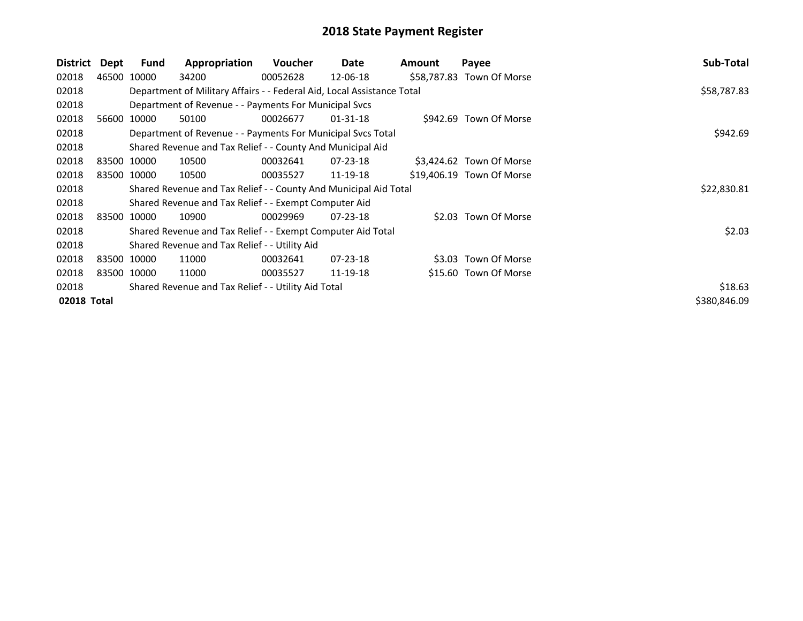| District    | Dept | Fund        | Appropriation                                                          | <b>Voucher</b> | Date     | <b>Amount</b> | Payee                     | Sub-Total    |
|-------------|------|-------------|------------------------------------------------------------------------|----------------|----------|---------------|---------------------------|--------------|
| 02018       |      | 46500 10000 | 34200                                                                  | 00052628       | 12-06-18 |               | \$58,787.83 Town Of Morse |              |
| 02018       |      |             | Department of Military Affairs - - Federal Aid, Local Assistance Total |                |          |               |                           | \$58,787.83  |
| 02018       |      |             | Department of Revenue - - Payments For Municipal Svcs                  |                |          |               |                           |              |
| 02018       |      | 56600 10000 | 50100                                                                  | 00026677       | 01-31-18 |               | \$942.69 Town Of Morse    |              |
| 02018       |      |             | Department of Revenue - - Payments For Municipal Svcs Total            |                | \$942.69 |               |                           |              |
| 02018       |      |             | Shared Revenue and Tax Relief - - County And Municipal Aid             |                |          |               |                           |              |
| 02018       |      | 83500 10000 | 10500                                                                  | 00032641       | 07-23-18 |               | \$3,424.62 Town Of Morse  |              |
| 02018       |      | 83500 10000 | 10500                                                                  | 00035527       | 11-19-18 |               | \$19,406.19 Town Of Morse |              |
| 02018       |      |             | Shared Revenue and Tax Relief - - County And Municipal Aid Total       |                |          |               |                           | \$22,830.81  |
| 02018       |      |             | Shared Revenue and Tax Relief - - Exempt Computer Aid                  |                |          |               |                           |              |
| 02018       |      | 83500 10000 | 10900                                                                  | 00029969       | 07-23-18 |               | \$2.03 Town Of Morse      |              |
| 02018       |      |             | Shared Revenue and Tax Relief - - Exempt Computer Aid Total            |                |          |               |                           | \$2.03       |
| 02018       |      |             | Shared Revenue and Tax Relief - - Utility Aid                          |                |          |               |                           |              |
| 02018       |      | 83500 10000 | 11000                                                                  | 00032641       | 07-23-18 |               | \$3.03 Town Of Morse      |              |
| 02018       |      | 83500 10000 | 11000                                                                  | 00035527       | 11-19-18 |               | \$15.60 Town Of Morse     |              |
| 02018       |      |             | Shared Revenue and Tax Relief - - Utility Aid Total                    | \$18.63        |          |               |                           |              |
| 02018 Total |      |             |                                                                        |                |          |               |                           | \$380,846.09 |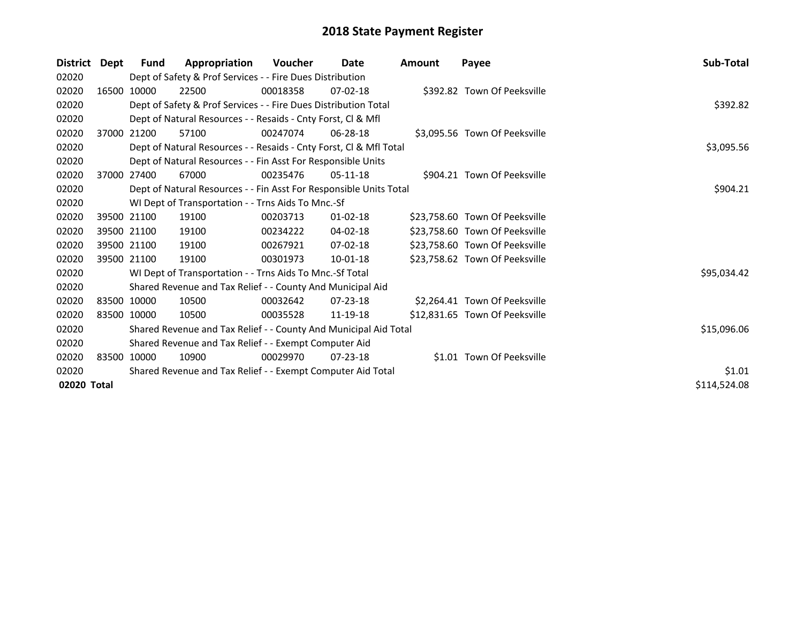| <b>District</b> | Dept        | Fund                                                                  | Appropriation                                                      | <b>Voucher</b> | Date           | <b>Amount</b> | Payee                          | Sub-Total    |
|-----------------|-------------|-----------------------------------------------------------------------|--------------------------------------------------------------------|----------------|----------------|---------------|--------------------------------|--------------|
| 02020           |             |                                                                       | Dept of Safety & Prof Services - - Fire Dues Distribution          |                |                |               |                                |              |
| 02020           | 16500       | 10000                                                                 | 22500                                                              | 00018358       | $07 - 02 - 18$ |               | \$392.82 Town Of Peeksville    |              |
| 02020           |             |                                                                       | Dept of Safety & Prof Services - - Fire Dues Distribution Total    |                |                |               |                                | \$392.82     |
| 02020           |             |                                                                       | Dept of Natural Resources - - Resaids - Cnty Forst, Cl & Mfl       |                |                |               |                                |              |
| 02020           |             | 37000 21200                                                           | 57100                                                              | 00247074       | 06-28-18       |               | \$3,095.56 Town Of Peeksville  |              |
| 02020           |             |                                                                       | Dept of Natural Resources - - Resaids - Cnty Forst, Cl & Mfl Total |                |                |               |                                | \$3,095.56   |
| 02020           |             |                                                                       | Dept of Natural Resources - - Fin Asst For Responsible Units       |                |                |               |                                |              |
| 02020           |             | 37000 27400                                                           | 67000                                                              | 00235476       | $05-11-18$     |               | \$904.21 Town Of Peeksville    |              |
| 02020           |             |                                                                       | Dept of Natural Resources - - Fin Asst For Responsible Units Total |                |                |               |                                | \$904.21     |
| 02020           |             |                                                                       | WI Dept of Transportation - - Trns Aids To Mnc.-Sf                 |                |                |               |                                |              |
| 02020           |             | 39500 21100                                                           | 19100                                                              | 00203713       | $01 - 02 - 18$ |               | \$23,758.60 Town Of Peeksville |              |
| 02020           |             | 39500 21100                                                           | 19100                                                              | 00234222       | $04 - 02 - 18$ |               | \$23,758.60 Town Of Peeksville |              |
| 02020           |             | 39500 21100                                                           | 19100                                                              | 00267921       | $07 - 02 - 18$ |               | \$23,758.60 Town Of Peeksville |              |
| 02020           |             | 39500 21100                                                           | 19100                                                              | 00301973       | $10-01-18$     |               | \$23,758.62 Town Of Peeksville |              |
| 02020           |             |                                                                       | WI Dept of Transportation - - Trns Aids To Mnc.-Sf Total           |                |                |               |                                | \$95,034.42  |
| 02020           |             |                                                                       | Shared Revenue and Tax Relief - - County And Municipal Aid         |                |                |               |                                |              |
| 02020           |             | 83500 10000                                                           | 10500                                                              | 00032642       | $07 - 23 - 18$ |               | \$2,264.41 Town Of Peeksville  |              |
| 02020           | 83500 10000 |                                                                       | 10500                                                              | 00035528       | 11-19-18       |               | \$12,831.65 Town Of Peeksville |              |
| 02020           |             |                                                                       | Shared Revenue and Tax Relief - - County And Municipal Aid Total   |                |                |               |                                | \$15,096.06  |
| 02020           |             |                                                                       | Shared Revenue and Tax Relief - - Exempt Computer Aid              |                |                |               |                                |              |
| 02020           |             | 83500 10000                                                           | 10900                                                              | 00029970       | $07 - 23 - 18$ |               | \$1.01 Town Of Peeksville      |              |
| 02020           |             | \$1.01<br>Shared Revenue and Tax Relief - - Exempt Computer Aid Total |                                                                    |                |                |               |                                |              |
| 02020 Total     |             |                                                                       |                                                                    |                |                |               |                                | \$114,524.08 |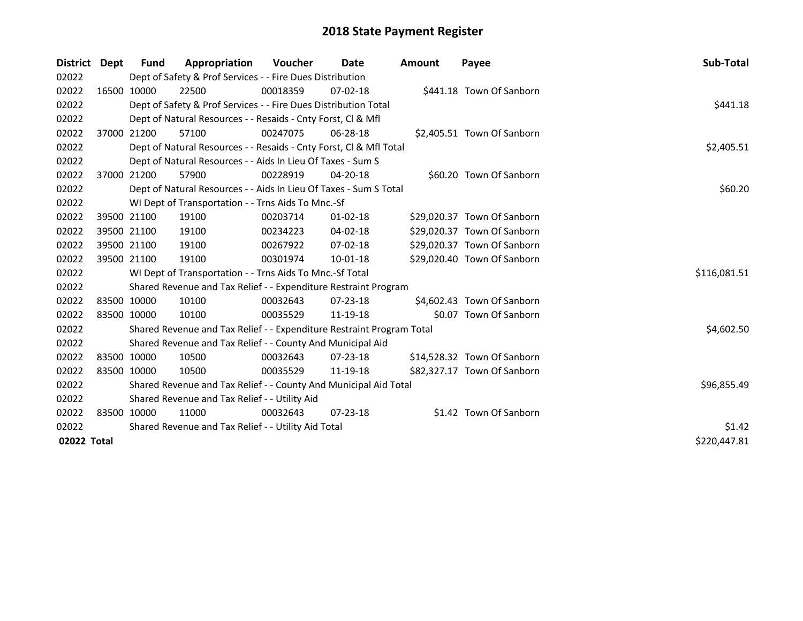| District Dept | <b>Fund</b> | Appropriation                                                         | <b>Voucher</b> | Date           | <b>Amount</b> | Payee                       | Sub-Total    |
|---------------|-------------|-----------------------------------------------------------------------|----------------|----------------|---------------|-----------------------------|--------------|
| 02022         |             | Dept of Safety & Prof Services - - Fire Dues Distribution             |                |                |               |                             |              |
| 02022         | 16500 10000 | 22500                                                                 | 00018359       | $07 - 02 - 18$ |               | \$441.18 Town Of Sanborn    |              |
| 02022         |             | Dept of Safety & Prof Services - - Fire Dues Distribution Total       |                |                |               |                             | \$441.18     |
| 02022         |             | Dept of Natural Resources - - Resaids - Cnty Forst, CI & Mfl          |                |                |               |                             |              |
| 02022         | 37000 21200 | 57100                                                                 | 00247075       | 06-28-18       |               | \$2,405.51 Town Of Sanborn  |              |
| 02022         |             | Dept of Natural Resources - - Resaids - Cnty Forst, CI & Mfl Total    |                |                |               |                             | \$2,405.51   |
| 02022         |             | Dept of Natural Resources - - Aids In Lieu Of Taxes - Sum S           |                |                |               |                             |              |
| 02022         | 37000 21200 | 57900                                                                 | 00228919       | $04 - 20 - 18$ |               | \$60.20 Town Of Sanborn     |              |
| 02022         |             | Dept of Natural Resources - - Aids In Lieu Of Taxes - Sum S Total     |                |                |               |                             | \$60.20      |
| 02022         |             | WI Dept of Transportation - - Trns Aids To Mnc.-Sf                    |                |                |               |                             |              |
| 02022         | 39500 21100 | 19100                                                                 | 00203714       | 01-02-18       |               | \$29,020.37 Town Of Sanborn |              |
| 02022         | 39500 21100 | 19100                                                                 | 00234223       | $04 - 02 - 18$ |               | \$29,020.37 Town Of Sanborn |              |
| 02022         | 39500 21100 | 19100                                                                 | 00267922       | 07-02-18       |               | \$29,020.37 Town Of Sanborn |              |
| 02022         | 39500 21100 | 19100                                                                 | 00301974       | $10 - 01 - 18$ |               | \$29,020.40 Town Of Sanborn |              |
| 02022         |             | WI Dept of Transportation - - Trns Aids To Mnc.-Sf Total              |                |                |               |                             | \$116,081.51 |
| 02022         |             | Shared Revenue and Tax Relief - - Expenditure Restraint Program       |                |                |               |                             |              |
| 02022         | 83500 10000 | 10100                                                                 | 00032643       | $07 - 23 - 18$ |               | \$4,602.43 Town Of Sanborn  |              |
| 02022         | 83500 10000 | 10100                                                                 | 00035529       | 11-19-18       |               | \$0.07 Town Of Sanborn      |              |
| 02022         |             | Shared Revenue and Tax Relief - - Expenditure Restraint Program Total |                |                |               |                             | \$4,602.50   |
| 02022         |             | Shared Revenue and Tax Relief - - County And Municipal Aid            |                |                |               |                             |              |
| 02022         | 83500 10000 | 10500                                                                 | 00032643       | $07 - 23 - 18$ |               | \$14,528.32 Town Of Sanborn |              |
| 02022         | 83500 10000 | 10500                                                                 | 00035529       | 11-19-18       |               | \$82,327.17 Town Of Sanborn |              |
| 02022         |             | Shared Revenue and Tax Relief - - County And Municipal Aid Total      |                |                |               |                             | \$96,855.49  |
| 02022         |             | Shared Revenue and Tax Relief - - Utility Aid                         |                |                |               |                             |              |
| 02022         | 83500 10000 | 11000                                                                 | 00032643       | $07 - 23 - 18$ |               | \$1.42 Town Of Sanborn      |              |
| 02022         |             | Shared Revenue and Tax Relief - - Utility Aid Total                   | \$1.42         |                |               |                             |              |
| 02022 Total   |             |                                                                       |                |                |               |                             | \$220,447.81 |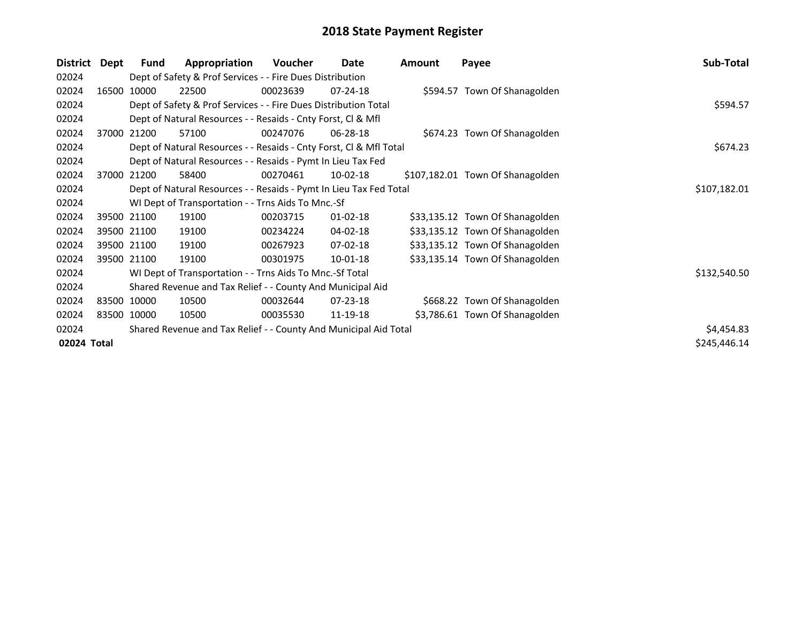| <b>District</b> | Dept  | Fund        | Appropriation                                                      | Voucher      | Date           | Amount | Payee                            | Sub-Total    |
|-----------------|-------|-------------|--------------------------------------------------------------------|--------------|----------------|--------|----------------------------------|--------------|
| 02024           |       |             | Dept of Safety & Prof Services - - Fire Dues Distribution          |              |                |        |                                  |              |
| 02024           | 16500 | 10000       | 22500                                                              | 00023639     | $07 - 24 - 18$ |        | \$594.57 Town Of Shanagolden     |              |
| 02024           |       |             | Dept of Safety & Prof Services - - Fire Dues Distribution Total    |              |                |        |                                  | \$594.57     |
| 02024           |       |             | Dept of Natural Resources - - Resaids - Cnty Forst, CI & Mfl       |              |                |        |                                  |              |
| 02024           |       | 37000 21200 | 57100                                                              | 00247076     | 06-28-18       |        | \$674.23 Town Of Shanagolden     |              |
| 02024           |       |             | Dept of Natural Resources - - Resaids - Cnty Forst, Cl & Mfl Total |              |                |        |                                  | \$674.23     |
| 02024           |       |             | Dept of Natural Resources - - Resaids - Pymt In Lieu Tax Fed       |              |                |        |                                  |              |
| 02024           |       | 37000 21200 | 58400                                                              | 00270461     | 10-02-18       |        | \$107,182.01 Town Of Shanagolden |              |
| 02024           |       |             | Dept of Natural Resources - - Resaids - Pymt In Lieu Tax Fed Total | \$107,182.01 |                |        |                                  |              |
| 02024           |       |             | WI Dept of Transportation - - Trns Aids To Mnc.-Sf                 |              |                |        |                                  |              |
| 02024           |       | 39500 21100 | 19100                                                              | 00203715     | $01 - 02 - 18$ |        | \$33,135.12 Town Of Shanagolden  |              |
| 02024           |       | 39500 21100 | 19100                                                              | 00234224     | 04-02-18       |        | \$33,135.12 Town Of Shanagolden  |              |
| 02024           |       | 39500 21100 | 19100                                                              | 00267923     | 07-02-18       |        | \$33,135.12 Town Of Shanagolden  |              |
| 02024           |       | 39500 21100 | 19100                                                              | 00301975     | 10-01-18       |        | \$33,135.14 Town Of Shanagolden  |              |
| 02024           |       |             | WI Dept of Transportation - - Trns Aids To Mnc.-Sf Total           |              |                |        |                                  | \$132,540.50 |
| 02024           |       |             | Shared Revenue and Tax Relief - - County And Municipal Aid         |              |                |        |                                  |              |
| 02024           |       | 83500 10000 | 10500                                                              | 00032644     | 07-23-18       |        | \$668.22 Town Of Shanagolden     |              |
| 02024           |       | 83500 10000 | 10500                                                              | 00035530     | 11-19-18       |        | \$3,786.61 Town Of Shanagolden   |              |
| 02024           |       |             | Shared Revenue and Tax Relief - - County And Municipal Aid Total   |              |                |        |                                  | \$4,454.83   |
| 02024 Total     |       |             |                                                                    |              |                |        |                                  | \$245,446.14 |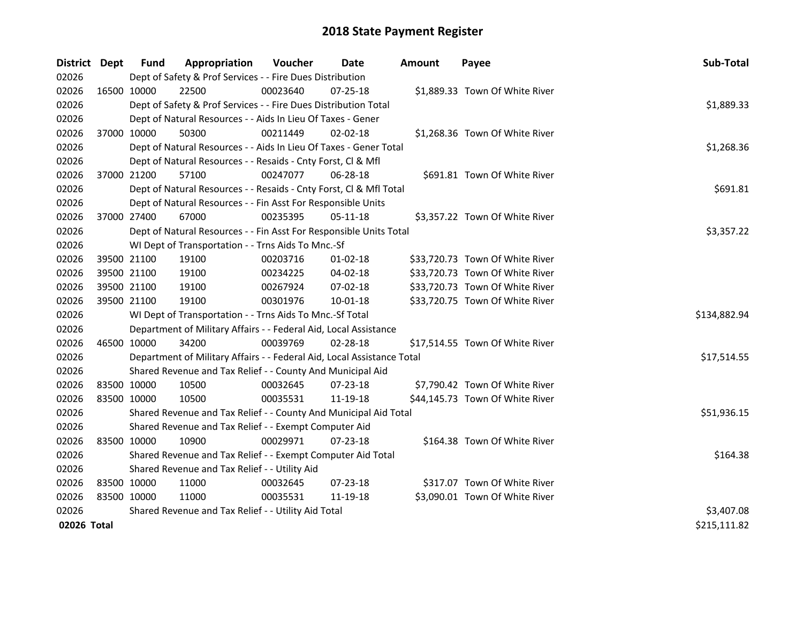| District Dept | <b>Fund</b>                                   | Appropriation                                                          | Voucher    | Date           | <b>Amount</b> | Payee                           | Sub-Total    |
|---------------|-----------------------------------------------|------------------------------------------------------------------------|------------|----------------|---------------|---------------------------------|--------------|
| 02026         |                                               | Dept of Safety & Prof Services - - Fire Dues Distribution              |            |                |               |                                 |              |
| 02026         | 16500 10000                                   | 22500                                                                  | 00023640   | $07 - 25 - 18$ |               | \$1,889.33 Town Of White River  |              |
| 02026         |                                               | Dept of Safety & Prof Services - - Fire Dues Distribution Total        |            |                |               |                                 | \$1,889.33   |
| 02026         |                                               | Dept of Natural Resources - - Aids In Lieu Of Taxes - Gener            |            |                |               |                                 |              |
| 02026         | 37000 10000                                   | 50300                                                                  | 00211449   | $02 - 02 - 18$ |               | \$1,268.36 Town Of White River  |              |
| 02026         |                                               | Dept of Natural Resources - - Aids In Lieu Of Taxes - Gener Total      |            |                |               |                                 | \$1,268.36   |
| 02026         |                                               | Dept of Natural Resources - - Resaids - Cnty Forst, Cl & Mfl           |            |                |               |                                 |              |
| 02026         | 37000 21200                                   | 57100                                                                  | 00247077   | 06-28-18       |               | \$691.81 Town Of White River    |              |
| 02026         |                                               | Dept of Natural Resources - - Resaids - Cnty Forst, Cl & Mfl Total     |            |                |               |                                 | \$691.81     |
| 02026         |                                               | Dept of Natural Resources - - Fin Asst For Responsible Units           |            |                |               |                                 |              |
| 02026         | 37000 27400                                   | 67000                                                                  | 00235395   | $05-11-18$     |               | \$3,357.22 Town Of White River  |              |
| 02026         |                                               | Dept of Natural Resources - - Fin Asst For Responsible Units Total     |            |                |               |                                 | \$3,357.22   |
| 02026         |                                               | WI Dept of Transportation - - Trns Aids To Mnc.-Sf                     |            |                |               |                                 |              |
| 02026         | 39500 21100                                   | 19100                                                                  | 00203716   | $01-02-18$     |               | \$33,720.73 Town Of White River |              |
| 02026         | 39500 21100                                   | 19100                                                                  | 00234225   | 04-02-18       |               | \$33,720.73 Town Of White River |              |
| 02026         | 39500 21100                                   | 19100                                                                  | 00267924   | 07-02-18       |               | \$33,720.73 Town Of White River |              |
| 02026         | 39500 21100                                   | 19100                                                                  | 00301976   | 10-01-18       |               | \$33,720.75 Town Of White River |              |
| 02026         |                                               | WI Dept of Transportation - - Trns Aids To Mnc.-Sf Total               |            |                |               |                                 | \$134,882.94 |
| 02026         |                                               | Department of Military Affairs - - Federal Aid, Local Assistance       |            |                |               |                                 |              |
| 02026         | 46500 10000                                   | 34200                                                                  | 00039769   | 02-28-18       |               | \$17,514.55 Town Of White River |              |
| 02026         |                                               | Department of Military Affairs - - Federal Aid, Local Assistance Total |            |                |               |                                 | \$17,514.55  |
| 02026         |                                               | Shared Revenue and Tax Relief - - County And Municipal Aid             |            |                |               |                                 |              |
| 02026         | 83500 10000                                   | 10500                                                                  | 00032645   | 07-23-18       |               | \$7,790.42 Town Of White River  |              |
| 02026         | 83500 10000                                   | 10500                                                                  | 00035531   | 11-19-18       |               | \$44,145.73 Town Of White River |              |
| 02026         |                                               | Shared Revenue and Tax Relief - - County And Municipal Aid Total       |            |                |               |                                 | \$51,936.15  |
| 02026         |                                               | Shared Revenue and Tax Relief - - Exempt Computer Aid                  |            |                |               |                                 |              |
| 02026         | 83500 10000                                   | 10900                                                                  | 00029971   | $07 - 23 - 18$ |               | \$164.38 Town Of White River    |              |
| 02026         |                                               | Shared Revenue and Tax Relief - - Exempt Computer Aid Total            |            |                |               |                                 | \$164.38     |
| 02026         | Shared Revenue and Tax Relief - - Utility Aid |                                                                        |            |                |               |                                 |              |
| 02026         | 83500 10000                                   | 11000                                                                  | 00032645   | 07-23-18       |               | \$317.07 Town Of White River    |              |
| 02026         | 83500 10000                                   | 11000                                                                  | 00035531   | 11-19-18       |               | \$3,090.01 Town Of White River  |              |
| 02026         |                                               | Shared Revenue and Tax Relief - - Utility Aid Total                    | \$3,407.08 |                |               |                                 |              |
| 02026 Total   |                                               |                                                                        |            |                |               |                                 | \$215,111.82 |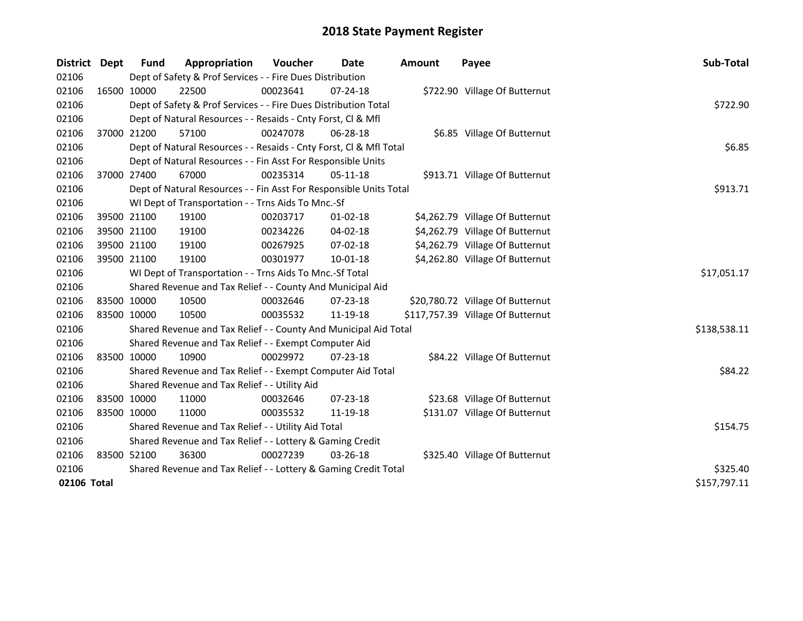| District    | <b>Dept</b> | Fund        | Appropriation                                                      | <b>Voucher</b> | Date           | <b>Amount</b> | Payee                             | Sub-Total    |
|-------------|-------------|-------------|--------------------------------------------------------------------|----------------|----------------|---------------|-----------------------------------|--------------|
| 02106       |             |             | Dept of Safety & Prof Services - - Fire Dues Distribution          |                |                |               |                                   |              |
| 02106       | 16500 10000 |             | 22500                                                              | 00023641       | $07 - 24 - 18$ |               | \$722.90 Village Of Butternut     |              |
| 02106       |             |             | Dept of Safety & Prof Services - - Fire Dues Distribution Total    |                |                |               |                                   | \$722.90     |
| 02106       |             |             | Dept of Natural Resources - - Resaids - Cnty Forst, Cl & Mfl       |                |                |               |                                   |              |
| 02106       | 37000 21200 |             | 57100                                                              | 00247078       | 06-28-18       |               | \$6.85 Village Of Butternut       |              |
| 02106       |             |             | Dept of Natural Resources - - Resaids - Cnty Forst, Cl & Mfl Total |                |                |               |                                   | \$6.85       |
| 02106       |             |             | Dept of Natural Resources - - Fin Asst For Responsible Units       |                |                |               |                                   |              |
| 02106       |             | 37000 27400 | 67000                                                              | 00235314       | $05-11-18$     |               | \$913.71 Village Of Butternut     |              |
| 02106       |             |             | Dept of Natural Resources - - Fin Asst For Responsible Units Total |                |                |               |                                   | \$913.71     |
| 02106       |             |             | WI Dept of Transportation - - Trns Aids To Mnc.-Sf                 |                |                |               |                                   |              |
| 02106       |             | 39500 21100 | 19100                                                              | 00203717       | $01-02-18$     |               | \$4,262.79 Village Of Butternut   |              |
| 02106       |             | 39500 21100 | 19100                                                              | 00234226       | 04-02-18       |               | \$4,262.79 Village Of Butternut   |              |
| 02106       |             | 39500 21100 | 19100                                                              | 00267925       | $07 - 02 - 18$ |               | \$4,262.79 Village Of Butternut   |              |
| 02106       | 39500 21100 |             | 19100                                                              | 00301977       | $10 - 01 - 18$ |               | \$4,262.80 Village Of Butternut   |              |
| 02106       |             |             | WI Dept of Transportation - - Trns Aids To Mnc.-Sf Total           |                |                |               |                                   | \$17,051.17  |
| 02106       |             |             | Shared Revenue and Tax Relief - - County And Municipal Aid         |                |                |               |                                   |              |
| 02106       |             | 83500 10000 | 10500                                                              | 00032646       | 07-23-18       |               | \$20,780.72 Village Of Butternut  |              |
| 02106       |             | 83500 10000 | 10500                                                              | 00035532       | 11-19-18       |               | \$117,757.39 Village Of Butternut |              |
| 02106       |             |             | Shared Revenue and Tax Relief - - County And Municipal Aid Total   |                |                |               |                                   | \$138,538.11 |
| 02106       |             |             | Shared Revenue and Tax Relief - - Exempt Computer Aid              |                |                |               |                                   |              |
| 02106       |             | 83500 10000 | 10900                                                              | 00029972       | 07-23-18       |               | \$84.22 Village Of Butternut      |              |
| 02106       |             |             | Shared Revenue and Tax Relief - - Exempt Computer Aid Total        |                |                |               |                                   | \$84.22      |
| 02106       |             |             | Shared Revenue and Tax Relief - - Utility Aid                      |                |                |               |                                   |              |
| 02106       |             | 83500 10000 | 11000                                                              | 00032646       | $07 - 23 - 18$ |               | \$23.68 Village Of Butternut      |              |
| 02106       | 83500 10000 |             | 11000                                                              | 00035532       | 11-19-18       |               | \$131.07 Village Of Butternut     |              |
| 02106       |             |             | Shared Revenue and Tax Relief - - Utility Aid Total                |                |                |               |                                   | \$154.75     |
| 02106       |             |             | Shared Revenue and Tax Relief - - Lottery & Gaming Credit          |                |                |               |                                   |              |
| 02106       |             | 83500 52100 | 36300                                                              | 00027239       | 03-26-18       |               | \$325.40 Village Of Butternut     |              |
| 02106       |             |             | Shared Revenue and Tax Relief - - Lottery & Gaming Credit Total    | \$325.40       |                |               |                                   |              |
| 02106 Total |             |             |                                                                    |                |                |               |                                   | \$157,797.11 |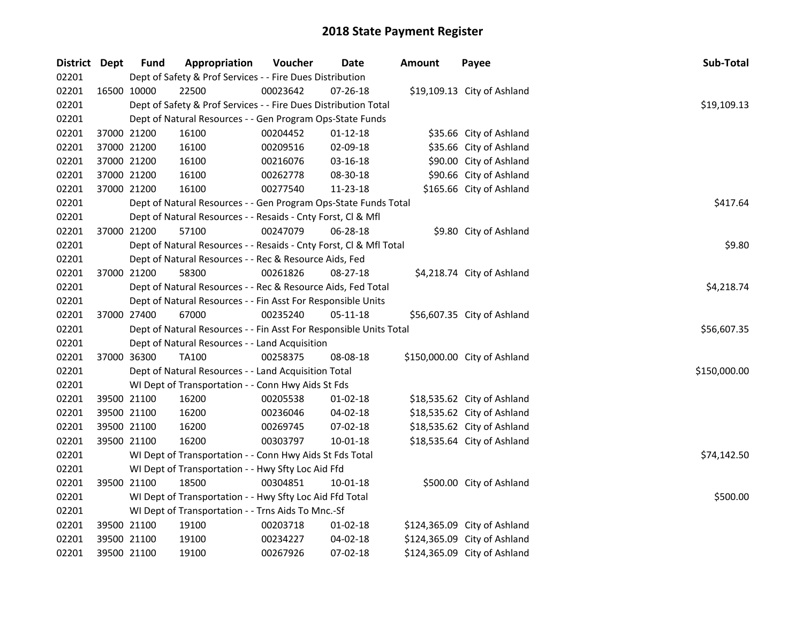| District Dept | <b>Fund</b>                                        | Appropriation                                                      | Voucher  | Date           | <b>Amount</b> | Payee                        | Sub-Total    |  |
|---------------|----------------------------------------------------|--------------------------------------------------------------------|----------|----------------|---------------|------------------------------|--------------|--|
| 02201         |                                                    | Dept of Safety & Prof Services - - Fire Dues Distribution          |          |                |               |                              |              |  |
| 02201         | 16500 10000                                        | 22500                                                              | 00023642 | 07-26-18       |               | \$19,109.13 City of Ashland  |              |  |
| 02201         |                                                    | Dept of Safety & Prof Services - - Fire Dues Distribution Total    |          |                |               |                              | \$19,109.13  |  |
| 02201         |                                                    | Dept of Natural Resources - - Gen Program Ops-State Funds          |          |                |               |                              |              |  |
| 02201         | 37000 21200                                        | 16100                                                              | 00204452 | $01 - 12 - 18$ |               | \$35.66 City of Ashland      |              |  |
| 02201         | 37000 21200                                        | 16100                                                              | 00209516 | 02-09-18       |               | \$35.66 City of Ashland      |              |  |
| 02201         | 37000 21200                                        | 16100                                                              | 00216076 | 03-16-18       |               | \$90.00 City of Ashland      |              |  |
| 02201         | 37000 21200                                        | 16100                                                              | 00262778 | 08-30-18       |               | \$90.66 City of Ashland      |              |  |
| 02201         | 37000 21200                                        | 16100                                                              | 00277540 | 11-23-18       |               | \$165.66 City of Ashland     |              |  |
| 02201         |                                                    | Dept of Natural Resources - - Gen Program Ops-State Funds Total    |          |                |               |                              | \$417.64     |  |
| 02201         |                                                    | Dept of Natural Resources - - Resaids - Cnty Forst, Cl & Mfl       |          |                |               |                              |              |  |
| 02201         | 37000 21200                                        | 57100                                                              | 00247079 | 06-28-18       |               | \$9.80 City of Ashland       |              |  |
| 02201         |                                                    | Dept of Natural Resources - - Resaids - Cnty Forst, CI & Mfl Total |          |                |               |                              | \$9.80       |  |
| 02201         |                                                    | Dept of Natural Resources - - Rec & Resource Aids, Fed             |          |                |               |                              |              |  |
| 02201         | 37000 21200                                        | 58300                                                              | 00261826 | 08-27-18       |               | \$4,218.74 City of Ashland   |              |  |
| 02201         |                                                    | Dept of Natural Resources - - Rec & Resource Aids, Fed Total       |          |                |               |                              | \$4,218.74   |  |
| 02201         |                                                    | Dept of Natural Resources - - Fin Asst For Responsible Units       |          |                |               |                              |              |  |
| 02201         | 37000 27400                                        | 67000                                                              | 00235240 | 05-11-18       |               | \$56,607.35 City of Ashland  |              |  |
| 02201         |                                                    | Dept of Natural Resources - - Fin Asst For Responsible Units Total |          |                |               |                              | \$56,607.35  |  |
| 02201         |                                                    | Dept of Natural Resources - - Land Acquisition                     |          |                |               |                              |              |  |
| 02201         | 37000 36300                                        | <b>TA100</b>                                                       | 00258375 | 08-08-18       |               | \$150,000.00 City of Ashland |              |  |
| 02201         |                                                    | Dept of Natural Resources - - Land Acquisition Total               |          |                |               |                              | \$150,000.00 |  |
| 02201         |                                                    | WI Dept of Transportation - - Conn Hwy Aids St Fds                 |          |                |               |                              |              |  |
| 02201         | 39500 21100                                        | 16200                                                              | 00205538 | $01-02-18$     |               | \$18,535.62 City of Ashland  |              |  |
| 02201         | 39500 21100                                        | 16200                                                              | 00236046 | 04-02-18       |               | \$18,535.62 City of Ashland  |              |  |
| 02201         | 39500 21100                                        | 16200                                                              | 00269745 | 07-02-18       |               | \$18,535.62 City of Ashland  |              |  |
| 02201         | 39500 21100                                        | 16200                                                              | 00303797 | 10-01-18       |               | \$18,535.64 City of Ashland  |              |  |
| 02201         |                                                    | WI Dept of Transportation - - Conn Hwy Aids St Fds Total           |          |                |               |                              | \$74,142.50  |  |
| 02201         |                                                    | WI Dept of Transportation - - Hwy Sfty Loc Aid Ffd                 |          |                |               |                              |              |  |
| 02201         | 39500 21100                                        | 18500                                                              | 00304851 | 10-01-18       |               | \$500.00 City of Ashland     |              |  |
| 02201         |                                                    | WI Dept of Transportation - - Hwy Sfty Loc Aid Ffd Total           |          |                |               |                              | \$500.00     |  |
| 02201         | WI Dept of Transportation - - Trns Aids To Mnc.-Sf |                                                                    |          |                |               |                              |              |  |
| 02201         | 39500 21100                                        | 19100                                                              | 00203718 | 01-02-18       |               | \$124,365.09 City of Ashland |              |  |
| 02201         | 39500 21100                                        | 19100                                                              | 00234227 | 04-02-18       |               | \$124,365.09 City of Ashland |              |  |
| 02201         | 39500 21100                                        | 19100                                                              | 00267926 | 07-02-18       |               | \$124,365.09 City of Ashland |              |  |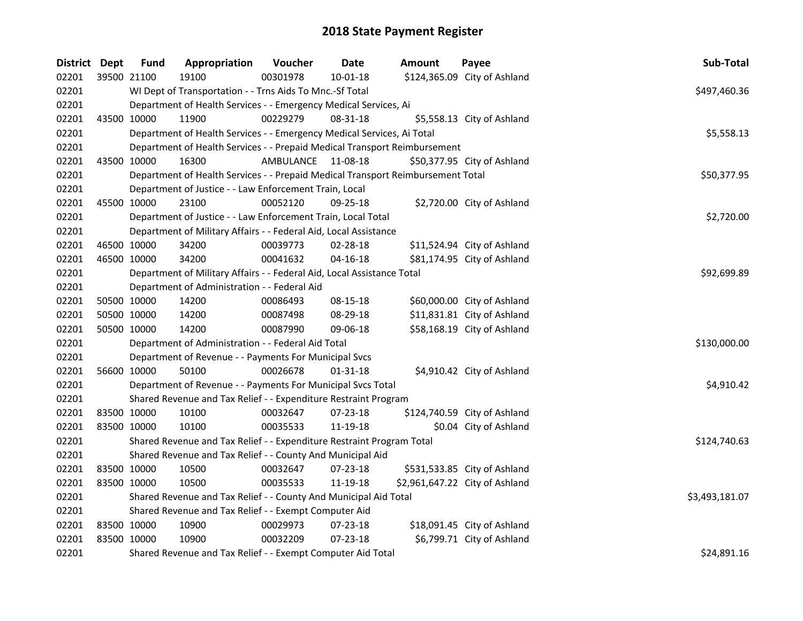| <b>District Dept</b> |             | <b>Fund</b>                                           | Appropriation                                                                   | Voucher   | Date           | Amount | Payee                          | Sub-Total      |  |
|----------------------|-------------|-------------------------------------------------------|---------------------------------------------------------------------------------|-----------|----------------|--------|--------------------------------|----------------|--|
| 02201                |             | 39500 21100                                           | 19100                                                                           | 00301978  | 10-01-18       |        | \$124,365.09 City of Ashland   |                |  |
| 02201                |             |                                                       | WI Dept of Transportation - - Trns Aids To Mnc.-Sf Total                        |           |                |        |                                | \$497,460.36   |  |
| 02201                |             |                                                       | Department of Health Services - - Emergency Medical Services, Ai                |           |                |        |                                |                |  |
| 02201                |             | 43500 10000                                           | 11900                                                                           | 00229279  | 08-31-18       |        | \$5,558.13 City of Ashland     |                |  |
| 02201                |             |                                                       | Department of Health Services - - Emergency Medical Services, Ai Total          |           |                |        |                                | \$5,558.13     |  |
| 02201                |             |                                                       | Department of Health Services - - Prepaid Medical Transport Reimbursement       |           |                |        |                                |                |  |
| 02201                |             | 43500 10000                                           | 16300                                                                           | AMBULANCE | 11-08-18       |        | \$50,377.95 City of Ashland    |                |  |
| 02201                |             |                                                       | Department of Health Services - - Prepaid Medical Transport Reimbursement Total |           |                |        |                                | \$50,377.95    |  |
| 02201                |             |                                                       | Department of Justice - - Law Enforcement Train, Local                          |           |                |        |                                |                |  |
| 02201                |             | 45500 10000                                           | 23100                                                                           | 00052120  | $09 - 25 - 18$ |        | \$2,720.00 City of Ashland     |                |  |
| 02201                |             |                                                       | Department of Justice - - Law Enforcement Train, Local Total                    |           |                |        |                                | \$2,720.00     |  |
| 02201                |             |                                                       | Department of Military Affairs - - Federal Aid, Local Assistance                |           |                |        |                                |                |  |
| 02201                |             | 46500 10000                                           | 34200                                                                           | 00039773  | 02-28-18       |        | \$11,524.94 City of Ashland    |                |  |
| 02201                |             | 46500 10000                                           | 34200                                                                           | 00041632  | $04 - 16 - 18$ |        | \$81,174.95 City of Ashland    |                |  |
| 02201                |             |                                                       | Department of Military Affairs - - Federal Aid, Local Assistance Total          |           |                |        |                                | \$92,699.89    |  |
| 02201                |             |                                                       | Department of Administration - - Federal Aid                                    |           |                |        |                                |                |  |
| 02201                |             | 50500 10000                                           | 14200                                                                           | 00086493  | 08-15-18       |        | \$60,000.00 City of Ashland    |                |  |
| 02201                |             | 50500 10000                                           | 14200                                                                           | 00087498  | 08-29-18       |        | \$11,831.81 City of Ashland    |                |  |
| 02201                |             | 50500 10000                                           | 14200                                                                           | 00087990  | 09-06-18       |        | \$58,168.19 City of Ashland    |                |  |
| 02201                |             |                                                       | Department of Administration - - Federal Aid Total                              |           |                |        |                                | \$130,000.00   |  |
| 02201                |             |                                                       | Department of Revenue - - Payments For Municipal Svcs                           |           |                |        |                                |                |  |
| 02201                |             | 56600 10000                                           | 50100                                                                           | 00026678  | $01 - 31 - 18$ |        | \$4,910.42 City of Ashland     |                |  |
| 02201                |             |                                                       | Department of Revenue - - Payments For Municipal Svcs Total                     |           |                |        |                                | \$4,910.42     |  |
| 02201                |             |                                                       | Shared Revenue and Tax Relief - - Expenditure Restraint Program                 |           |                |        |                                |                |  |
| 02201                |             | 83500 10000                                           | 10100                                                                           | 00032647  | 07-23-18       |        | \$124,740.59 City of Ashland   |                |  |
| 02201                |             | 83500 10000                                           | 10100                                                                           | 00035533  | 11-19-18       |        | \$0.04 City of Ashland         |                |  |
| 02201                |             |                                                       | Shared Revenue and Tax Relief - - Expenditure Restraint Program Total           |           |                |        |                                | \$124,740.63   |  |
| 02201                |             |                                                       | Shared Revenue and Tax Relief - - County And Municipal Aid                      |           |                |        |                                |                |  |
| 02201                |             | 83500 10000                                           | 10500                                                                           | 00032647  | 07-23-18       |        | \$531,533.85 City of Ashland   |                |  |
| 02201                | 83500 10000 |                                                       | 10500                                                                           | 00035533  | 11-19-18       |        | \$2,961,647.22 City of Ashland |                |  |
| 02201                |             |                                                       | Shared Revenue and Tax Relief - - County And Municipal Aid Total                |           |                |        |                                | \$3,493,181.07 |  |
| 02201                |             | Shared Revenue and Tax Relief - - Exempt Computer Aid |                                                                                 |           |                |        |                                |                |  |
| 02201                |             | 83500 10000                                           | 10900                                                                           | 00029973  | $07 - 23 - 18$ |        | \$18,091.45 City of Ashland    |                |  |
| 02201                | 83500 10000 |                                                       | 10900                                                                           | 00032209  | 07-23-18       |        | \$6,799.71 City of Ashland     |                |  |
| 02201                |             |                                                       | Shared Revenue and Tax Relief - - Exempt Computer Aid Total                     |           |                |        |                                | \$24,891.16    |  |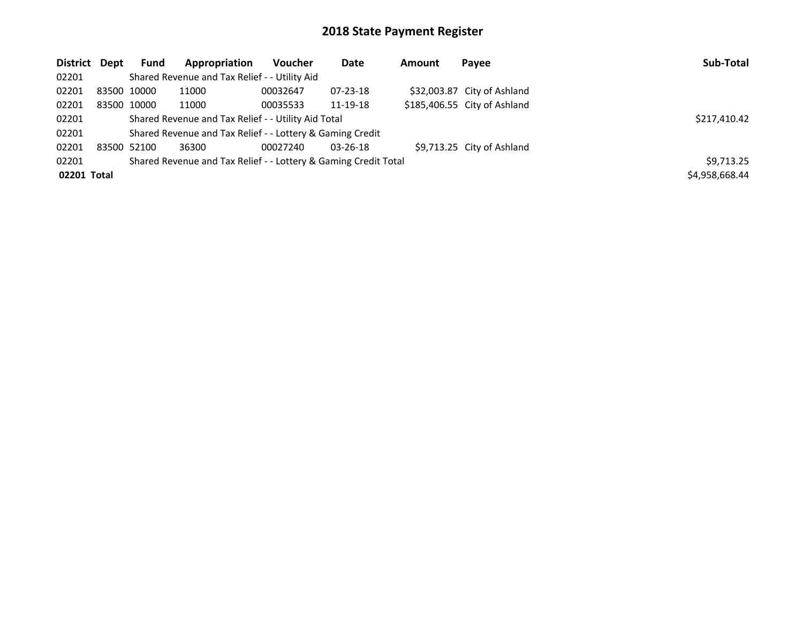| District Dept | <b>Fund</b> | Appropriation                                                   | <b>Voucher</b> | <b>Date</b>    | Amount | Payee                        | Sub-Total      |
|---------------|-------------|-----------------------------------------------------------------|----------------|----------------|--------|------------------------------|----------------|
| 02201         |             | Shared Revenue and Tax Relief - - Utility Aid                   |                |                |        |                              |                |
| 02201         | 83500 10000 | 11000                                                           | 00032647       | $07 - 23 - 18$ |        | \$32,003.87 City of Ashland  |                |
| 02201         | 83500 10000 | 11000                                                           | 00035533       | 11-19-18       |        | \$185,406.55 City of Ashland |                |
| 02201         |             | Shared Revenue and Tax Relief - - Utility Aid Total             |                | \$217,410.42   |        |                              |                |
| 02201         |             | Shared Revenue and Tax Relief - - Lottery & Gaming Credit       |                |                |        |                              |                |
| 02201         | 83500 52100 | 36300                                                           | 00027240       | $03 - 26 - 18$ |        | \$9,713.25 City of Ashland   |                |
| 02201         |             | Shared Revenue and Tax Relief - - Lottery & Gaming Credit Total |                |                |        |                              | \$9,713.25     |
| 02201 Total   |             |                                                                 |                |                |        |                              | \$4,958,668.44 |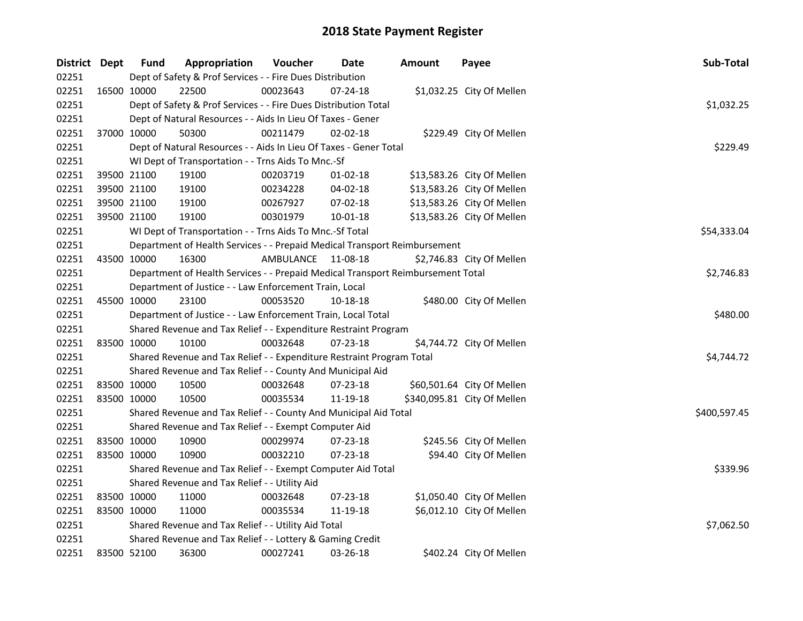| District Dept |             | <b>Fund</b>                                               | Appropriation                                                                   | Voucher   | Date           | <b>Amount</b> | Payee                       | Sub-Total    |  |  |
|---------------|-------------|-----------------------------------------------------------|---------------------------------------------------------------------------------|-----------|----------------|---------------|-----------------------------|--------------|--|--|
| 02251         |             |                                                           | Dept of Safety & Prof Services - - Fire Dues Distribution                       |           |                |               |                             |              |  |  |
| 02251         |             | 16500 10000                                               | 22500                                                                           | 00023643  | 07-24-18       |               | \$1,032.25 City Of Mellen   |              |  |  |
| 02251         |             |                                                           | Dept of Safety & Prof Services - - Fire Dues Distribution Total                 |           |                |               |                             | \$1,032.25   |  |  |
| 02251         |             |                                                           | Dept of Natural Resources - - Aids In Lieu Of Taxes - Gener                     |           |                |               |                             |              |  |  |
| 02251         |             | 37000 10000                                               | 50300                                                                           | 00211479  | $02 - 02 - 18$ |               | \$229.49 City Of Mellen     |              |  |  |
| 02251         |             |                                                           | Dept of Natural Resources - - Aids In Lieu Of Taxes - Gener Total               |           |                |               |                             | \$229.49     |  |  |
| 02251         |             |                                                           | WI Dept of Transportation - - Trns Aids To Mnc.-Sf                              |           |                |               |                             |              |  |  |
| 02251         |             | 39500 21100                                               | 19100                                                                           | 00203719  | $01-02-18$     |               | \$13,583.26 City Of Mellen  |              |  |  |
| 02251         |             | 39500 21100                                               | 19100                                                                           | 00234228  | 04-02-18       |               | \$13,583.26 City Of Mellen  |              |  |  |
| 02251         |             | 39500 21100                                               | 19100                                                                           | 00267927  | 07-02-18       |               | \$13,583.26 City Of Mellen  |              |  |  |
| 02251         |             | 39500 21100                                               | 19100                                                                           | 00301979  | 10-01-18       |               | \$13,583.26 City Of Mellen  |              |  |  |
| 02251         |             |                                                           | WI Dept of Transportation - - Trns Aids To Mnc.-Sf Total                        |           |                |               |                             | \$54,333.04  |  |  |
| 02251         |             |                                                           | Department of Health Services - - Prepaid Medical Transport Reimbursement       |           |                |               |                             |              |  |  |
| 02251         |             | 43500 10000                                               | 16300                                                                           | AMBULANCE | 11-08-18       |               | \$2,746.83 City Of Mellen   |              |  |  |
| 02251         |             |                                                           | Department of Health Services - - Prepaid Medical Transport Reimbursement Total |           |                |               |                             | \$2,746.83   |  |  |
| 02251         |             |                                                           | Department of Justice - - Law Enforcement Train, Local                          |           |                |               |                             |              |  |  |
| 02251         |             | 45500 10000                                               | 23100                                                                           | 00053520  | 10-18-18       |               | \$480.00 City Of Mellen     |              |  |  |
| 02251         |             |                                                           | Department of Justice - - Law Enforcement Train, Local Total                    |           |                |               |                             | \$480.00     |  |  |
| 02251         |             |                                                           | Shared Revenue and Tax Relief - - Expenditure Restraint Program                 |           |                |               |                             |              |  |  |
| 02251         |             | 83500 10000                                               | 10100                                                                           | 00032648  | $07 - 23 - 18$ |               | \$4,744.72 City Of Mellen   |              |  |  |
| 02251         |             |                                                           | Shared Revenue and Tax Relief - - Expenditure Restraint Program Total           |           |                |               |                             | \$4,744.72   |  |  |
| 02251         |             |                                                           | Shared Revenue and Tax Relief - - County And Municipal Aid                      |           |                |               |                             |              |  |  |
| 02251         |             | 83500 10000                                               | 10500                                                                           | 00032648  | 07-23-18       |               | \$60,501.64 City Of Mellen  |              |  |  |
| 02251         | 83500 10000 |                                                           | 10500                                                                           | 00035534  | 11-19-18       |               | \$340,095.81 City Of Mellen |              |  |  |
| 02251         |             |                                                           | Shared Revenue and Tax Relief - - County And Municipal Aid Total                |           |                |               |                             | \$400,597.45 |  |  |
| 02251         |             |                                                           | Shared Revenue and Tax Relief - - Exempt Computer Aid                           |           |                |               |                             |              |  |  |
| 02251         |             | 83500 10000                                               | 10900                                                                           | 00029974  | 07-23-18       |               | \$245.56 City Of Mellen     |              |  |  |
| 02251         |             | 83500 10000                                               | 10900                                                                           | 00032210  | 07-23-18       |               | \$94.40 City Of Mellen      |              |  |  |
| 02251         |             |                                                           | Shared Revenue and Tax Relief - - Exempt Computer Aid Total                     |           |                |               |                             | \$339.96     |  |  |
| 02251         |             |                                                           | Shared Revenue and Tax Relief - - Utility Aid                                   |           |                |               |                             |              |  |  |
| 02251         |             | 83500 10000                                               | 11000                                                                           | 00032648  | 07-23-18       |               | \$1,050.40 City Of Mellen   |              |  |  |
| 02251         | 83500 10000 |                                                           | 11000                                                                           | 00035534  | 11-19-18       |               | \$6,012.10 City Of Mellen   |              |  |  |
| 02251         |             |                                                           | Shared Revenue and Tax Relief - - Utility Aid Total                             |           |                |               |                             | \$7,062.50   |  |  |
| 02251         |             | Shared Revenue and Tax Relief - - Lottery & Gaming Credit |                                                                                 |           |                |               |                             |              |  |  |
| 02251         |             | 83500 52100                                               | 36300                                                                           | 00027241  | 03-26-18       |               | \$402.24 City Of Mellen     |              |  |  |